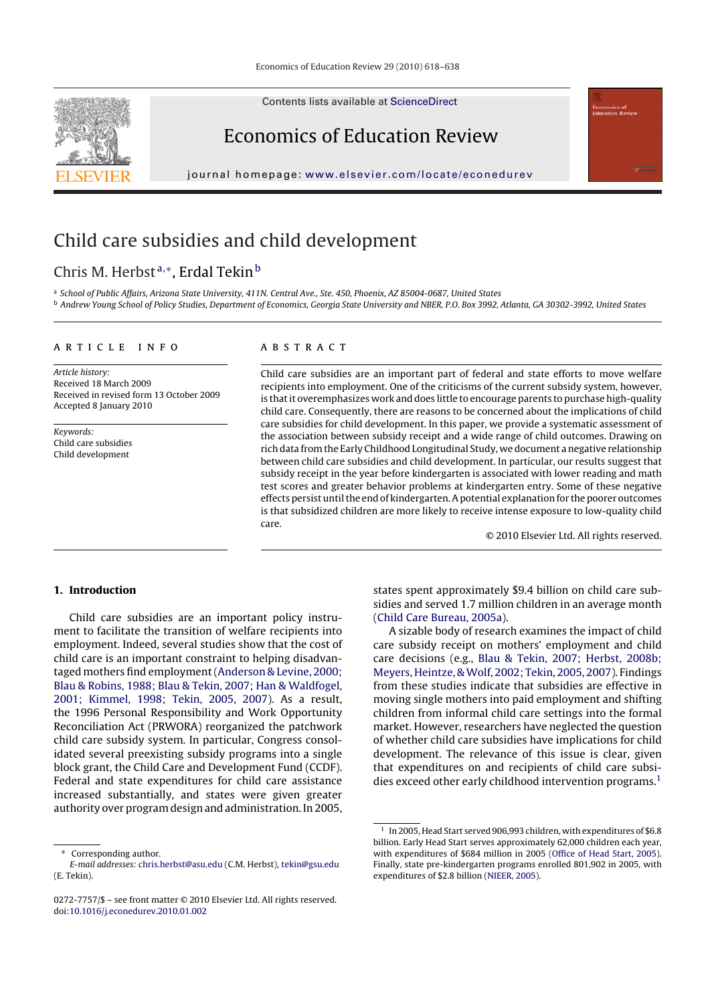Contents lists available at ScienceDirect

# Economics of Education Review

journal homepage: www.elsevier.com/locate/econedurev

# Child care subsidies and child development

# Chris M. Herbst<sup>a,∗</sup>, Erdal Tekin<sup>b</sup>

<sup>a</sup> School of Public Affairs, Arizona State University, 411N. Central Ave., Ste. 450, Phoenix, AZ 85004-0687, United States <sup>b</sup> Andrew Young School of Policy Studies, Department of Economics, Georgia State University and NBER, P.O. Box 3992, Atlanta, GA 30302-3992, United States

### article info

Article history: Received 18 March 2009 Received in revised form 13 October 2009 Accepted 8 January 2010

Keywords: Child care subsidies Child development

# **ABSTRACT**

Child care subsidies are an important part of federal and state efforts to move welfare recipients into employment. One of the criticisms of the current subsidy system, however, is that it overemphasizes work and does little to encourage parents to purchase high-quality child care. Consequently, there are reasons to be concerned about the implications of child care subsidies for child development. In this paper, we provide a systematic assessment of the association between subsidy receipt and a wide range of child outcomes. Drawing on rich data from the Early Childhood Longitudinal Study, we document a negative relationship between child care subsidies and child development. In particular, our results suggest that subsidy receipt in the year before kindergarten is associated with lower reading and math test scores and greater behavior problems at kindergarten entry. Some of these negative effects persist until the end of kindergarten. A potential explanation for the poorer outcomes is that subsidized children are more likely to receive intense exposure to low-quality child care.

© 2010 Elsevier Ltd. All rights reserved.

## 1. Introduction

Child care subsidies are an important policy instrument to facilitate the transition of welfare recipients into employment. Indeed, several studies show that the cost of child care is an important constraint to helping disadvantaged mothers find employment (Anderson & Levine, 2000; Blau & Robins, 1988; Blau & Tekin, 2007; Han & Waldfogel, 2001; Kimmel, 1998; Tekin, 2005, 2007). As a result, the 1996 Personal Responsibility and Work Opportunity Reconciliation Act (PRWORA) reorganized the patchwork child care subsidy system. In particular, Congress consolidated several preexisting subsidy programs into a single block grant, the Child Care and Development Fund (CCDF). Federal and state expenditures for child care assistance increased substantially, and states were given greater authority over program design and administration. In 2005,

Corresponding author.

states spent approximately \$9.4 billion on child care subsidies and served 1.7 million children in an average month (Child Care Bureau, 2005a).

A sizable body of research examines the impact of child care subsidy receipt on mothers' employment and child care decisions (e.g., Blau & Tekin, 2007; Herbst, 2008b; Meyers, Heintze, &Wolf, 2002; Tekin, 2005, 2007). Findings from these studies indicate that subsidies are effective in moving single mothers into paid employment and shifting children from informal child care settings into the formal market. However, researchers have neglected the question of whether child care subsidies have implications for child development. The relevance of this issue is clear, given that expenditures on and recipients of child care subsidies exceed other early childhood intervention programs.<sup>1</sup>



E-mail addresses: chris.herbst@asu.edu (C.M. Herbst), tekin@gsu.edu (E. Tekin).

<sup>0272-7757/\$ –</sup> see front matter © 2010 Elsevier Ltd. All rights reserved. doi:10.1016/j.econedurev.2010.01.002

<sup>&</sup>lt;sup>1</sup> In 2005, Head Start served 906,993 children, with expenditures of \$6.8 billion. Early Head Start serves approximately 62,000 children each year, with expenditures of \$684 million in 2005 (Office of Head Start, 2005). Finally, state pre-kindergarten programs enrolled 801,902 in 2005, with expenditures of \$2.8 billion (NIEER, 2005).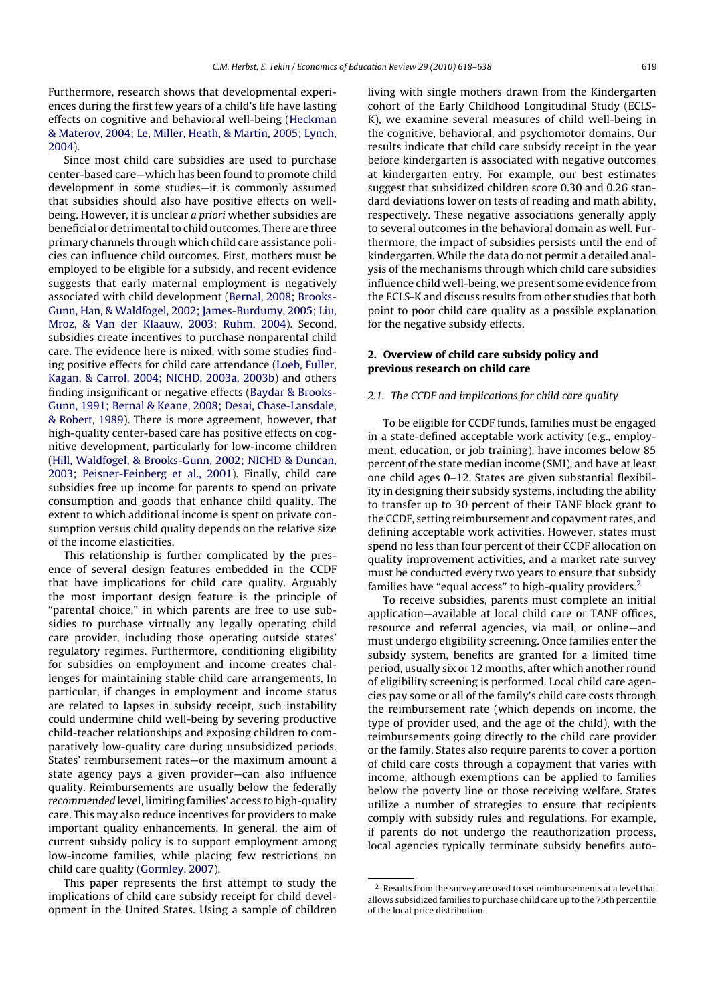Since most child care subsidies are used to purchase center-based care—which has been found to promote child development in some studies—it is commonly assumed that subsidies should also have positive effects on wellbeing. However, it is unclear a priori whether subsidies are beneficial or detrimental to child outcomes. There are three primary channels through which child care assistance policies can influence child outcomes. First, mothers must be employed to be eligible for a subsidy, and recent evidence suggests that early maternal employment is negatively associated with child development (Bernal, 2008; Brooks-Gunn, Han, & Waldfogel, 2002; James-Burdumy, 2005; Liu, Mroz, & Van der Klaauw, 2003; Ruhm, 2004). Second, subsidies create incentives to purchase nonparental child care. The evidence here is mixed, with some studies finding positive effects for child care attendance (Loeb, Fuller, Kagan, & Carrol, 2004; NICHD, 2003a, 2003b) and others finding insignificant or negative effects (Baydar & Brooks-Gunn, 1991; Bernal & Keane, 2008; Desai, Chase-Lansdale, & Robert, 1989). There is more agreement, however, that high-quality center-based care has positive effects on cognitive development, particularly for low-income children (Hill, Waldfogel, & Brooks-Gunn, 2002; NICHD & Duncan, 2003; Peisner-Feinberg et al., 2001). Finally, child care subsidies free up income for parents to spend on private consumption and goods that enhance child quality. The extent to which additional income is spent on private consumption versus child quality depends on the relative size of the income elasticities.

This relationship is further complicated by the presence of several design features embedded in the CCDF that have implications for child care quality. Arguably the most important design feature is the principle of "parental choice," in which parents are free to use subsidies to purchase virtually any legally operating child care provider, including those operating outside states' regulatory regimes. Furthermore, conditioning eligibility for subsidies on employment and income creates challenges for maintaining stable child care arrangements. In particular, if changes in employment and income status are related to lapses in subsidy receipt, such instability could undermine child well-being by severing productive child-teacher relationships and exposing children to comparatively low-quality care during unsubsidized periods. States' reimbursement rates—or the maximum amount a state agency pays a given provider—can also influence quality. Reimbursements are usually below the federally recommended level, limiting families' access to high-quality care. This may also reduce incentives for providers to make important quality enhancements. In general, the aim of current subsidy policy is to support employment among low-income families, while placing few restrictions on child care quality (Gormley, 2007).

This paper represents the first attempt to study the implications of child care subsidy receipt for child development in the United States. Using a sample of children living with single mothers drawn from the Kindergarten cohort of the Early Childhood Longitudinal Study (ECLS-K), we examine several measures of child well-being in the cognitive, behavioral, and psychomotor domains. Our results indicate that child care subsidy receipt in the year before kindergarten is associated with negative outcomes at kindergarten entry. For example, our best estimates suggest that subsidized children score 0.30 and 0.26 standard deviations lower on tests of reading and math ability, respectively. These negative associations generally apply to several outcomes in the behavioral domain as well. Furthermore, the impact of subsidies persists until the end of kindergarten. While the data do not permit a detailed analysis of the mechanisms through which child care subsidies influence child well-being, we present some evidence from the ECLS-K and discuss results from other studies that both point to poor child care quality as a possible explanation for the negative subsidy effects.

#### 2. Overview of child care subsidy policy and previous research on child care

### 2.1. The CCDF and implications for child care quality

To be eligible for CCDF funds, families must be engaged in a state-defined acceptable work activity (e.g., employment, education, or job training), have incomes below 85 percent of the state median income (SMI), and have at least one child ages 0–12. States are given substantial flexibility in designing their subsidy systems, including the ability to transfer up to 30 percent of their TANF block grant to the CCDF, setting reimbursement and copayment rates, and defining acceptable work activities. However, states must spend no less than four percent of their CCDF allocation on quality improvement activities, and a market rate survey must be conducted every two years to ensure that subsidy families have "equal access" to high-quality providers. $2$ 

To receive subsidies, parents must complete an initial application—available at local child care or TANF offices, resource and referral agencies, via mail, or online—and must undergo eligibility screening. Once families enter the subsidy system, benefits are granted for a limited time period, usually six or 12 months, after which another round of eligibility screening is performed. Local child care agencies pay some or all of the family's child care costs through the reimbursement rate (which depends on income, the type of provider used, and the age of the child), with the reimbursements going directly to the child care provider or the family. States also require parents to cover a portion of child care costs through a copayment that varies with income, although exemptions can be applied to families below the poverty line or those receiving welfare. States utilize a number of strategies to ensure that recipients comply with subsidy rules and regulations. For example, if parents do not undergo the reauthorization process, local agencies typically terminate subsidy benefits auto-

<sup>2</sup> Results from the survey are used to set reimbursements at a level that allows subsidized families to purchase child care up to the 75th percentile of the local price distribution.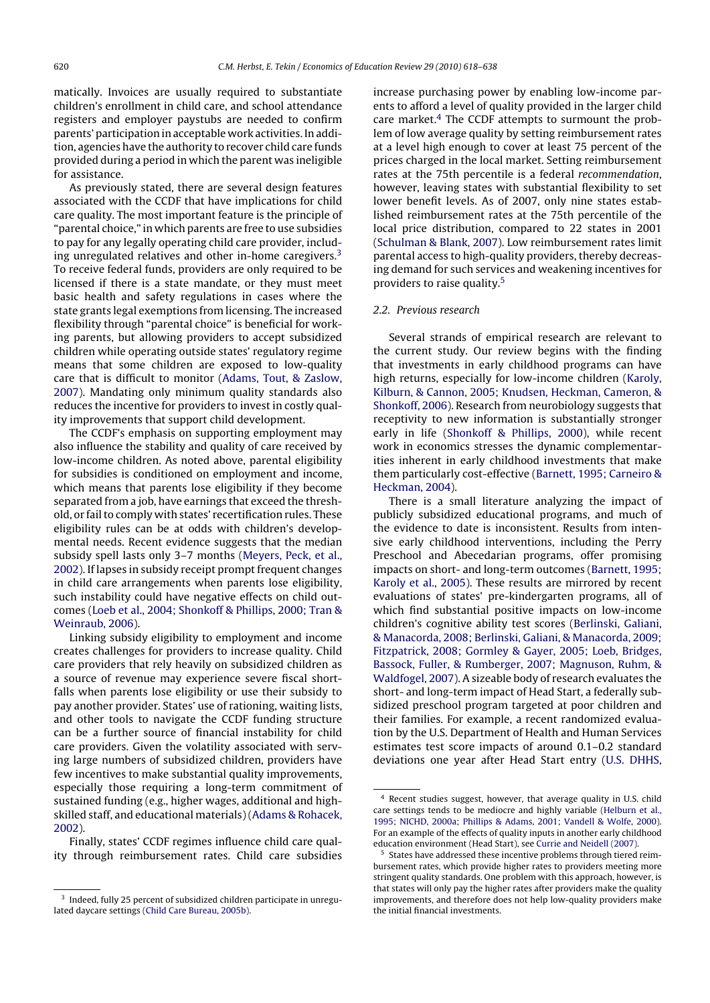matically. Invoices are usually required to substantiate children's enrollment in child care, and school attendance registers and employer paystubs are needed to confirm parents' participation in acceptable work activities. In addition, agencies have the authority to recover child care funds provided during a period in which the parent was ineligible for assistance.

As previously stated, there are several design features associated with the CCDF that have implications for child care quality. The most important feature is the principle of "parental choice," in which parents are free to use subsidies to pay for any legally operating child care provider, including unregulated relatives and other in-home caregivers.<sup>3</sup> To receive federal funds, providers are only required to be licensed if there is a state mandate, or they must meet basic health and safety regulations in cases where the state grants legal exemptions from licensing. The increased flexibility through "parental choice" is beneficial for working parents, but allowing providers to accept subsidized children while operating outside states' regulatory regime means that some children are exposed to low-quality care that is difficult to monitor (Adams, Tout, & Zaslow, 2007). Mandating only minimum quality standards also reduces the incentive for providers to invest in costly quality improvements that support child development.

The CCDF's emphasis on supporting employment may also influence the stability and quality of care received by low-income children. As noted above, parental eligibility for subsidies is conditioned on employment and income, which means that parents lose eligibility if they become separated from a job, have earnings that exceed the threshold, or fail to comply with states' recertification rules. These eligibility rules can be at odds with children's developmental needs. Recent evidence suggests that the median subsidy spell lasts only 3–7 months (Meyers, Peck, et al., 2002). If lapses in subsidy receipt prompt frequent changes in child care arrangements when parents lose eligibility, such instability could have negative effects on child outcomes (Loeb et al., 2004; Shonkoff & Phillips, 2000; Tran & Weinraub, 2006).

Linking subsidy eligibility to employment and income creates challenges for providers to increase quality. Child care providers that rely heavily on subsidized children as a source of revenue may experience severe fiscal shortfalls when parents lose eligibility or use their subsidy to pay another provider. States' use of rationing, waiting lists, and other tools to navigate the CCDF funding structure can be a further source of financial instability for child care providers. Given the volatility associated with serving large numbers of subsidized children, providers have few incentives to make substantial quality improvements, especially those requiring a long-term commitment of sustained funding (e.g., higher wages, additional and highskilled staff, and educational materials) (Adams & Rohacek, 2002).

Finally, states' CCDF regimes influence child care quality through reimbursement rates. Child care subsidies

increase purchasing power by enabling low-income parents to afford a level of quality provided in the larger child care market.<sup>4</sup> The CCDF attempts to surmount the problem of low average quality by setting reimbursement rates at a level high enough to cover at least 75 percent of the prices charged in the local market. Setting reimbursement rates at the 75th percentile is a federal recommendation, however, leaving states with substantial flexibility to set lower benefit levels. As of 2007, only nine states established reimbursement rates at the 75th percentile of the local price distribution, compared to 22 states in 2001 (Schulman & Blank, 2007). Low reimbursement rates limit parental access to high-quality providers, thereby decreasing demand for such services and weakening incentives for providers to raise quality.5

### 2.2. Previous research

Several strands of empirical research are relevant to the current study. Our review begins with the finding that investments in early childhood programs can have high returns, especially for low-income children (Karoly, Kilburn, & Cannon, 2005; Knudsen, Heckman, Cameron, & Shonkoff, 2006). Research from neurobiology suggests that receptivity to new information is substantially stronger early in life (Shonkoff & Phillips, 2000), while recent work in economics stresses the dynamic complementarities inherent in early childhood investments that make them particularly cost-effective (Barnett, 1995; Carneiro & Heckman, 2004).

There is a small literature analyzing the impact of publicly subsidized educational programs, and much of the evidence to date is inconsistent. Results from intensive early childhood interventions, including the Perry Preschool and Abecedarian programs, offer promising impacts on short- and long-term outcomes (Barnett, 1995; Karoly et al., 2005). These results are mirrored by recent evaluations of states' pre-kindergarten programs, all of which find substantial positive impacts on low-income children's cognitive ability test scores (Berlinski, Galiani, & Manacorda, 2008; Berlinski, Galiani, & Manacorda, 2009; Fitzpatrick, 2008; Gormley & Gayer, 2005; Loeb, Bridges, Bassock, Fuller, & Rumberger, 2007; Magnuson, Ruhm, & Waldfogel, 2007). A sizeable body of research evaluates the short- and long-term impact of Head Start, a federally subsidized preschool program targeted at poor children and their families. For example, a recent randomized evaluation by the U.S. Department of Health and Human Services estimates test score impacts of around 0.1–0.2 standard deviations one year after Head Start entry (U.S. DHHS,

<sup>3</sup> Indeed, fully 25 percent of subsidized children participate in unregulated daycare settings (Child Care Bureau, 2005b).

<sup>4</sup> Recent studies suggest, however, that average quality in U.S. child care settings tends to be mediocre and highly variable (Helburn et al., 1995; NICHD, 2000a; Phillips & Adams, 2001; Vandell & Wolfe, 2000). For an example of the effects of quality inputs in another early childhood education environment (Head Start), see Currie and Neidell (2007).

<sup>5</sup> States have addressed these incentive problems through tiered reimbursement rates, which provide higher rates to providers meeting more stringent quality standards. One problem with this approach, however, is that states will only pay the higher rates after providers make the quality improvements, and therefore does not help low-quality providers make the initial financial investments.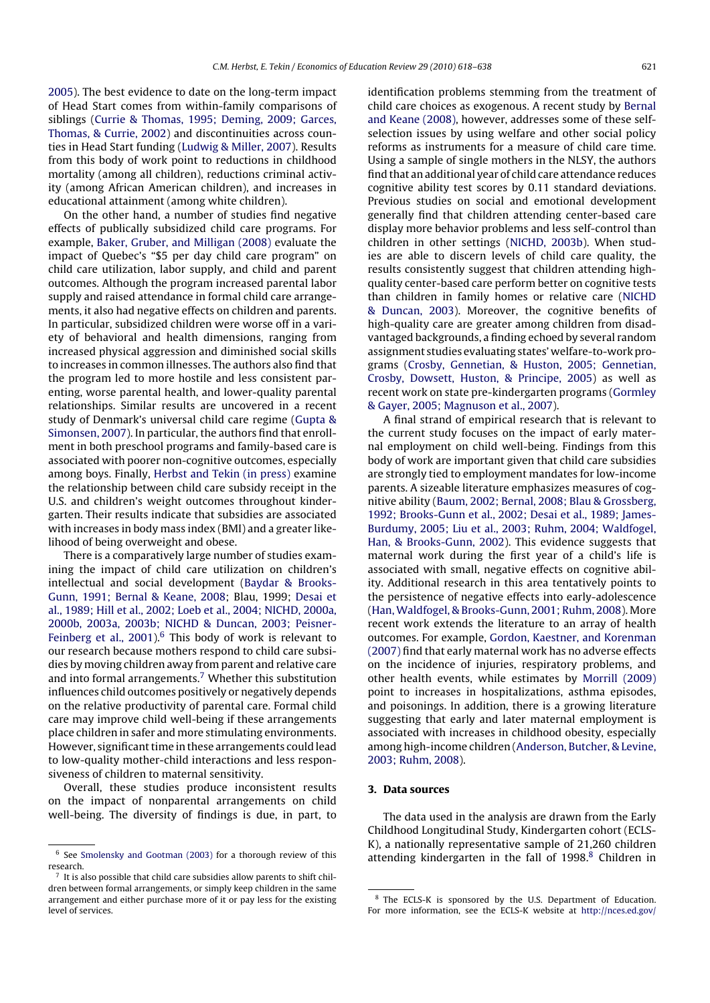2005). The best evidence to date on the long-term impact of Head Start comes from within-family comparisons of siblings (Currie & Thomas, 1995; Deming, 2009; Garces, Thomas, & Currie, 2002) and discontinuities across counties in Head Start funding (Ludwig & Miller, 2007). Results from this body of work point to reductions in childhood mortality (among all children), reductions criminal activity (among African American children), and increases in educational attainment (among white children).

On the other hand, a number of studies find negative effects of publically subsidized child care programs. For example, Baker, Gruber, and Milligan (2008) evaluate the impact of Quebec's "\$5 per day child care program" on child care utilization, labor supply, and child and parent outcomes. Although the program increased parental labor supply and raised attendance in formal child care arrangements, it also had negative effects on children and parents. In particular, subsidized children were worse off in a variety of behavioral and health dimensions, ranging from increased physical aggression and diminished social skills to increases in common illnesses. The authors also find that the program led to more hostile and less consistent parenting, worse parental health, and lower-quality parental relationships. Similar results are uncovered in a recent study of Denmark's universal child care regime (Gupta & Simonsen, 2007). In particular, the authors find that enrollment in both preschool programs and family-based care is associated with poorer non-cognitive outcomes, especially among boys. Finally, Herbst and Tekin (in press) examine the relationship between child care subsidy receipt in the U.S. and children's weight outcomes throughout kindergarten. Their results indicate that subsidies are associated with increases in body mass index (BMI) and a greater likelihood of being overweight and obese.

There is a comparatively large number of studies examining the impact of child care utilization on children's intellectual and social development (Baydar & Brooks-Gunn, 1991; Bernal & Keane, 2008; Blau, 1999; Desai et al., 1989; Hill et al., 2002; Loeb et al., 2004; NICHD, 2000a, 2000b, 2003a, 2003b; NICHD & Duncan, 2003; Peisner-Feinberg et al., 2001).<sup>6</sup> This body of work is relevant to our research because mothers respond to child care subsidies by moving children away from parent and relative care and into formal arrangements.<sup>7</sup> Whether this substitution influences child outcomes positively or negatively depends on the relative productivity of parental care. Formal child care may improve child well-being if these arrangements place children in safer and more stimulating environments. However, significant time in these arrangements could lead to low-quality mother-child interactions and less responsiveness of children to maternal sensitivity.

Overall, these studies produce inconsistent results on the impact of nonparental arrangements on child well-being. The diversity of findings is due, in part, to identification problems stemming from the treatment of child care choices as exogenous. A recent study by Bernal and Keane (2008), however, addresses some of these selfselection issues by using welfare and other social policy reforms as instruments for a measure of child care time. Using a sample of single mothers in the NLSY, the authors find that an additional year of child care attendance reduces cognitive ability test scores by 0.11 standard deviations. Previous studies on social and emotional development generally find that children attending center-based care display more behavior problems and less self-control than children in other settings (NICHD, 2003b). When studies are able to discern levels of child care quality, the results consistently suggest that children attending highquality center-based care perform better on cognitive tests than children in family homes or relative care (NICHD & Duncan, 2003). Moreover, the cognitive benefits of high-quality care are greater among children from disadvantaged backgrounds, a finding echoed by several random assignment studies evaluating states' welfare-to-work programs (Crosby, Gennetian, & Huston, 2005; Gennetian, Crosby, Dowsett, Huston, & Principe, 2005) as well as recent work on state pre-kindergarten programs (Gormley & Gayer, 2005; Magnuson et al., 2007).

A final strand of empirical research that is relevant to the current study focuses on the impact of early maternal employment on child well-being. Findings from this body of work are important given that child care subsidies are strongly tied to employment mandates for low-income parents. A sizeable literature emphasizes measures of cognitive ability (Baum, 2002; Bernal, 2008; Blau & Grossberg, 1992; Brooks-Gunn et al., 2002; Desai et al., 1989; James-Burdumy, 2005; Liu et al., 2003; Ruhm, 2004; Waldfogel, Han, & Brooks-Gunn, 2002). This evidence suggests that maternal work during the first year of a child's life is associated with small, negative effects on cognitive ability. Additional research in this area tentatively points to the persistence of negative effects into early-adolescence (Han, Waldfogel, & Brooks-Gunn, 2001; Ruhm, 2008). More recent work extends the literature to an array of health outcomes. For example, Gordon, Kaestner, and Korenman (2007) find that early maternal work has no adverse effects on the incidence of injuries, respiratory problems, and other health events, while estimates by Morrill (2009) point to increases in hospitalizations, asthma episodes, and poisonings. In addition, there is a growing literature suggesting that early and later maternal employment is associated with increases in childhood obesity, especially among high-income children (Anderson, Butcher, & Levine, 2003; Ruhm, 2008).

### 3. Data sources

The data used in the analysis are drawn from the Early Childhood Longitudinal Study, Kindergarten cohort (ECLS-K), a nationally representative sample of 21,260 children attending kindergarten in the fall of  $1998<sup>8</sup>$  Children in

<sup>6</sup> See Smolensky and Gootman (2003) for a thorough review of this research.

 $7$  It is also possible that child care subsidies allow parents to shift children between formal arrangements, or simply keep children in the same arrangement and either purchase more of it or pay less for the existing level of services.

<sup>8</sup> The ECLS-K is sponsored by the U.S. Department of Education. For more information, see the ECLS-K website at http://nces.ed.gov/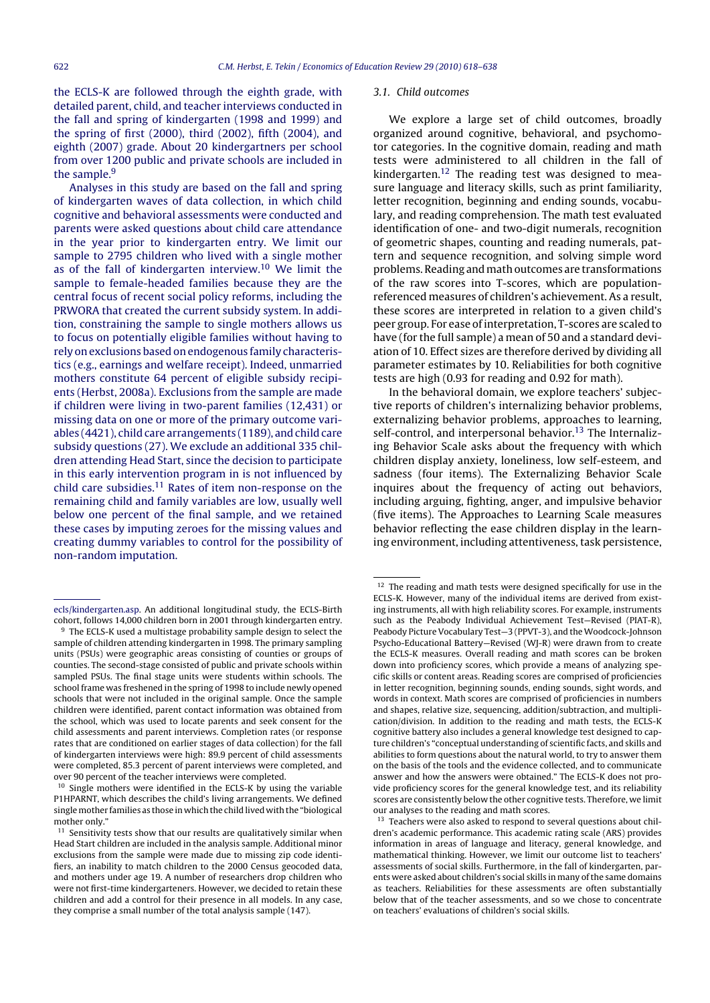the ECLS-K are followed through the eighth grade, with detailed parent, child, and teacher interviews conducted in the fall and spring of kindergarten (1998 and 1999) and the spring of first (2000), third (2002), fifth (2004), and eighth (2007) grade. About 20 kindergartners per school from over 1200 public and private schools are included in the sample.<sup>9</sup>

Analyses in this study are based on the fall and spring of kindergarten waves of data collection, in which child cognitive and behavioral assessments were conducted and parents were asked questions about child care attendance in the year prior to kindergarten entry. We limit our sample to 2795 children who lived with a single mother as of the fall of kindergarten interview.10 We limit the sample to female-headed families because they are the central focus of recent social policy reforms, including the PRWORA that created the current subsidy system. In addition, constraining the sample to single mothers allows us to focus on potentially eligible families without having to rely on exclusions based on endogenous family characteristics (e.g., earnings and welfare receipt). Indeed, unmarried mothers constitute 64 percent of eligible subsidy recipients (Herbst, 2008a). Exclusions from the sample are made if children were living in two-parent families (12,431) or missing data on one or more of the primary outcome variables (4421), child care arrangements (1189), and child care subsidy questions (27). We exclude an additional 335 children attending Head Start, since the decision to participate in this early intervention program in is not influenced by child care subsidies. $11$  Rates of item non-response on the remaining child and family variables are low, usually well below one percent of the final sample, and we retained these cases by imputing zeroes for the missing values and creating dummy variables to control for the possibility of non-random imputation.

#### 3.1. Child outcomes

We explore a large set of child outcomes, broadly organized around cognitive, behavioral, and psychomotor categories. In the cognitive domain, reading and math tests were administered to all children in the fall of kindergarten.<sup>12</sup> The reading test was designed to measure language and literacy skills, such as print familiarity, letter recognition, beginning and ending sounds, vocabulary, and reading comprehension. The math test evaluated identification of one- and two-digit numerals, recognition of geometric shapes, counting and reading numerals, pattern and sequence recognition, and solving simple word problems. Reading andmath outcomes are transformations of the raw scores into T-scores, which are populationreferenced measures of children's achievement. As a result, these scores are interpreted in relation to a given child's peer group. For ease of interpretation, T-scores are scaled to have (for the full sample) a mean of 50 and a standard deviation of 10. Effect sizes are therefore derived by dividing all parameter estimates by 10. Reliabilities for both cognitive tests are high (0.93 for reading and 0.92 for math).

In the behavioral domain, we explore teachers' subjective reports of children's internalizing behavior problems, externalizing behavior problems, approaches to learning, self-control, and interpersonal behavior.<sup>13</sup> The Internalizing Behavior Scale asks about the frequency with which children display anxiety, loneliness, low self-esteem, and sadness (four items). The Externalizing Behavior Scale inquires about the frequency of acting out behaviors, including arguing, fighting, anger, and impulsive behavior (five items). The Approaches to Learning Scale measures behavior reflecting the ease children display in the learning environment, including attentiveness, task persistence,

ecls/kindergarten.asp. An additional longitudinal study, the ECLS-Birth cohort, follows 14,000 children born in 2001 through kindergarten entry.

<sup>&</sup>lt;sup>9</sup> The ECLS-K used a multistage probability sample design to select the sample of children attending kindergarten in 1998. The primary sampling units (PSUs) were geographic areas consisting of counties or groups of counties. The second-stage consisted of public and private schools within sampled PSUs. The final stage units were students within schools. The school frame was freshened in the spring of 1998 to include newly opened schools that were not included in the original sample. Once the sample children were identified, parent contact information was obtained from the school, which was used to locate parents and seek consent for the child assessments and parent interviews. Completion rates (or response rates that are conditioned on earlier stages of data collection) for the fall of kindergarten interviews were high: 89.9 percent of child assessments were completed, 85.3 percent of parent interviews were completed, and over 90 percent of the teacher interviews were completed.

<sup>&</sup>lt;sup>10</sup> Single mothers were identified in the ECLS-K by using the variable P1HPARNT, which describes the child's living arrangements. We defined singlemother families as those in which the child lived with the "biological mother only."

 $11$  Sensitivity tests show that our results are qualitatively similar when Head Start children are included in the analysis sample. Additional minor exclusions from the sample were made due to missing zip code identifiers, an inability to match children to the 2000 Census geocoded data, and mothers under age 19. A number of researchers drop children who were not first-time kindergarteners. However, we decided to retain these children and add a control for their presence in all models. In any case, they comprise a small number of the total analysis sample (147).

<sup>&</sup>lt;sup>12</sup> The reading and math tests were designed specifically for use in the ECLS-K. However, many of the individual items are derived from existing instruments, all with high reliability scores. For example, instruments such as the Peabody Individual Achievement Test—Revised (PIAT-R), Peabody Picture Vocabulary Test-3 (PPVT-3), and the Woodcock-Johnson Psycho-Educational Battery—Revised (WJ-R) were drawn from to create the ECLS-K measures. Overall reading and math scores can be broken down into proficiency scores, which provide a means of analyzing specific skills or content areas. Reading scores are comprised of proficiencies in letter recognition, beginning sounds, ending sounds, sight words, and words in context. Math scores are comprised of proficiencies in numbers and shapes, relative size, sequencing, addition/subtraction, and multiplication/division. In addition to the reading and math tests, the ECLS-K cognitive battery also includes a general knowledge test designed to capture children's "conceptual understanding of scientific facts, and skills and abilities to form questions about the natural world, to try to answer them on the basis of the tools and the evidence collected, and to communicate answer and how the answers were obtained." The ECLS-K does not provide proficiency scores for the general knowledge test, and its reliability scores are consistently below the other cognitive tests. Therefore, we limit our analyses to the reading and math scores.

Teachers were also asked to respond to several questions about children's academic performance. This academic rating scale (ARS) provides information in areas of language and literacy, general knowledge, and mathematical thinking. However, we limit our outcome list to teachers' assessments of social skills. Furthermore, in the fall of kindergarten, parents were asked about children's social skills in many of the same domains as teachers. Reliabilities for these assessments are often substantially below that of the teacher assessments, and so we chose to concentrate on teachers' evaluations of children's social skills.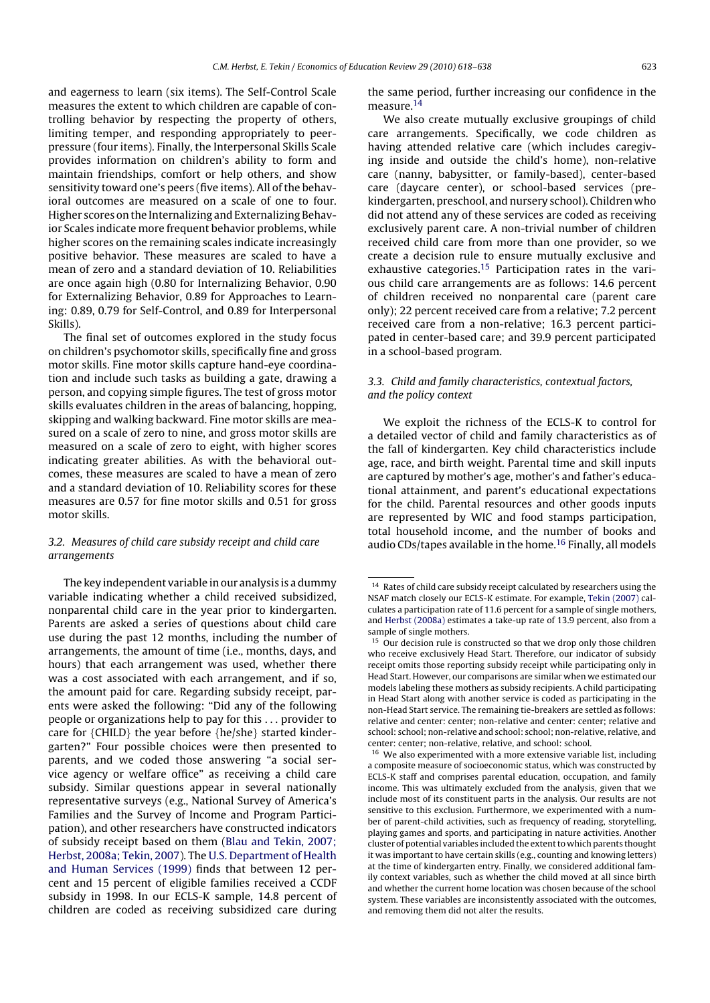and eagerness to learn (six items). The Self-Control Scale measures the extent to which children are capable of controlling behavior by respecting the property of others, limiting temper, and responding appropriately to peerpressure (four items). Finally, the Interpersonal Skills Scale provides information on children's ability to form and maintain friendships, comfort or help others, and show sensitivity toward one's peers (five items). All of the behavioral outcomes are measured on a scale of one to four. Higher scores on the Internalizing and Externalizing Behavior Scales indicate more frequent behavior problems, while higher scores on the remaining scales indicate increasingly positive behavior. These measures are scaled to have a mean of zero and a standard deviation of 10. Reliabilities are once again high (0.80 for Internalizing Behavior, 0.90 for Externalizing Behavior, 0.89 for Approaches to Learning: 0.89, 0.79 for Self-Control, and 0.89 for Interpersonal Skills).

The final set of outcomes explored in the study focus on children's psychomotor skills, specifically fine and gross motor skills. Fine motor skills capture hand-eye coordination and include such tasks as building a gate, drawing a person, and copying simple figures. The test of gross motor skills evaluates children in the areas of balancing, hopping, skipping and walking backward. Fine motor skills are measured on a scale of zero to nine, and gross motor skills are measured on a scale of zero to eight, with higher scores indicating greater abilities. As with the behavioral outcomes, these measures are scaled to have a mean of zero and a standard deviation of 10. Reliability scores for these measures are 0.57 for fine motor skills and 0.51 for gross motor skills.

# 3.2. Measures of child care subsidy receipt and child care arrangements

The key independent variable in our analysis is a dummy variable indicating whether a child received subsidized, nonparental child care in the year prior to kindergarten. Parents are asked a series of questions about child care use during the past 12 months, including the number of arrangements, the amount of time (i.e., months, days, and hours) that each arrangement was used, whether there was a cost associated with each arrangement, and if so, the amount paid for care. Regarding subsidy receipt, parents were asked the following: "Did any of the following people or organizations help to pay for this ... provider to care for *{*CHILD*}* the year before *{*he/she*}* started kindergarten?" Four possible choices were then presented to parents, and we coded those answering "a social service agency or welfare office" as receiving a child care subsidy. Similar questions appear in several nationally representative surveys (e.g., National Survey of America's Families and the Survey of Income and Program Participation), and other researchers have constructed indicators of subsidy receipt based on them (Blau and Tekin, 2007; Herbst, 2008a; Tekin, 2007). The U.S. Department of Health and Human Services (1999) finds that between 12 percent and 15 percent of eligible families received a CCDF subsidy in 1998. In our ECLS-K sample, 14.8 percent of children are coded as receiving subsidized care during the same period, further increasing our confidence in the measure.14

We also create mutually exclusive groupings of child care arrangements. Specifically, we code children as having attended relative care (which includes caregiving inside and outside the child's home), non-relative care (nanny, babysitter, or family-based), center-based care (daycare center), or school-based services (prekindergarten, preschool, and nursery school). Children who did not attend any of these services are coded as receiving exclusively parent care. A non-trivial number of children received child care from more than one provider, so we create a decision rule to ensure mutually exclusive and exhaustive categories.<sup>15</sup> Participation rates in the various child care arrangements are as follows: 14.6 percent of children received no nonparental care (parent care only); 22 percent received care from a relative; 7.2 percent received care from a non-relative; 16.3 percent participated in center-based care; and 39.9 percent participated in a school-based program.

## 3.3. Child and family characteristics, contextual factors, and the policy context

We exploit the richness of the ECLS-K to control for a detailed vector of child and family characteristics as of the fall of kindergarten. Key child characteristics include age, race, and birth weight. Parental time and skill inputs are captured by mother's age, mother's and father's educational attainment, and parent's educational expectations for the child. Parental resources and other goods inputs are represented by WIC and food stamps participation, total household income, and the number of books and audio CDs/tapes available in the home.<sup>16</sup> Finally, all models

<sup>&</sup>lt;sup>14</sup> Rates of child care subsidy receipt calculated by researchers using the NSAF match closely our ECLS-K estimate. For example, Tekin (2007) calculates a participation rate of 11.6 percent for a sample of single mothers, and Herbst (2008a) estimates a take-up rate of 13.9 percent, also from a sample of single mothers.

 $15$  Our decision rule is constructed so that we drop only those children who receive exclusively Head Start. Therefore, our indicator of subsidy receipt omits those reporting subsidy receipt while participating only in Head Start. However, our comparisons are similar when we estimated our models labeling these mothers as subsidy recipients. A child participating in Head Start along with another service is coded as participating in the non-Head Start service. The remaining tie-breakers are settled as follows: relative and center: center; non-relative and center: center; relative and school: school; non-relative and school: school; non-relative, relative, and center: center; non-relative, relative, and school: school.

 $16$  We also experimented with a more extensive variable list, including a composite measure of socioeconomic status, which was constructed by ECLS-K staff and comprises parental education, occupation, and family income. This was ultimately excluded from the analysis, given that we include most of its constituent parts in the analysis. Our results are not sensitive to this exclusion. Furthermore, we experimented with a number of parent-child activities, such as frequency of reading, storytelling, playing games and sports, and participating in nature activities. Another cluster of potential variables included the extent to which parents thought it was important to have certain skills (e.g., counting and knowing letters) at the time of kindergarten entry. Finally, we considered additional family context variables, such as whether the child moved at all since birth and whether the current home location was chosen because of the school system. These variables are inconsistently associated with the outcomes, and removing them did not alter the results.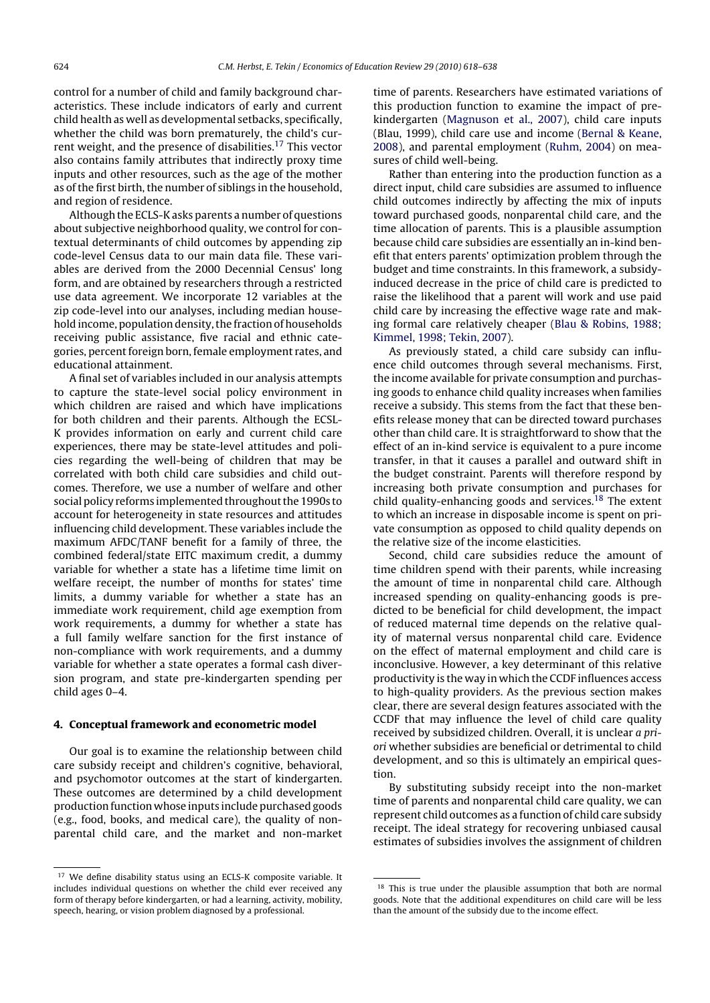control for a number of child and family background characteristics. These include indicators of early and current child health as well as developmental setbacks, specifically, whether the child was born prematurely, the child's current weight, and the presence of disabilities.<sup>17</sup> This vector also contains family attributes that indirectly proxy time inputs and other resources, such as the age of the mother as of the first birth, the number of siblings in the household, and region of residence.

Although the ECLS-K asks parents a number of questions about subjective neighborhood quality, we control for contextual determinants of child outcomes by appending zip code-level Census data to our main data file. These variables are derived from the 2000 Decennial Census' long form, and are obtained by researchers through a restricted use data agreement. We incorporate 12 variables at the zip code-level into our analyses, including median household income, population density, the fraction of households receiving public assistance, five racial and ethnic categories, percent foreign born, female employment rates, and educational attainment.

A final set of variables included in our analysis attempts to capture the state-level social policy environment in which children are raised and which have implications for both children and their parents. Although the ECSL-K provides information on early and current child care experiences, there may be state-level attitudes and policies regarding the well-being of children that may be correlated with both child care subsidies and child outcomes. Therefore, we use a number of welfare and other social policy reforms implemented throughout the 1990s to account for heterogeneity in state resources and attitudes influencing child development. These variables include the maximum AFDC/TANF benefit for a family of three, the combined federal/state EITC maximum credit, a dummy variable for whether a state has a lifetime time limit on welfare receipt, the number of months for states' time limits, a dummy variable for whether a state has an immediate work requirement, child age exemption from work requirements, a dummy for whether a state has a full family welfare sanction for the first instance of non-compliance with work requirements, and a dummy variable for whether a state operates a formal cash diversion program, and state pre-kindergarten spending per child ages 0–4.

#### 4. Conceptual framework and econometric model

Our goal is to examine the relationship between child care subsidy receipt and children's cognitive, behavioral, and psychomotor outcomes at the start of kindergarten. These outcomes are determined by a child development production function whose inputs include purchased goods (e.g., food, books, and medical care), the quality of nonparental child care, and the market and non-market time of parents. Researchers have estimated variations of this production function to examine the impact of prekindergarten (Magnuson et al., 2007), child care inputs (Blau, 1999), child care use and income (Bernal & Keane, 2008), and parental employment (Ruhm, 2004) on measures of child well-being.

Rather than entering into the production function as a direct input, child care subsidies are assumed to influence child outcomes indirectly by affecting the mix of inputs toward purchased goods, nonparental child care, and the time allocation of parents. This is a plausible assumption because child care subsidies are essentially an in-kind benefit that enters parents' optimization problem through the budget and time constraints. In this framework, a subsidyinduced decrease in the price of child care is predicted to raise the likelihood that a parent will work and use paid child care by increasing the effective wage rate and making formal care relatively cheaper (Blau & Robins, 1988; Kimmel, 1998; Tekin, 2007).

As previously stated, a child care subsidy can influence child outcomes through several mechanisms. First, the income available for private consumption and purchasing goods to enhance child quality increases when families receive a subsidy. This stems from the fact that these benefits release money that can be directed toward purchases other than child care. It is straightforward to show that the effect of an in-kind service is equivalent to a pure income transfer, in that it causes a parallel and outward shift in the budget constraint. Parents will therefore respond by increasing both private consumption and purchases for child quality-enhancing goods and services.<sup>18</sup> The extent to which an increase in disposable income is spent on private consumption as opposed to child quality depends on the relative size of the income elasticities.

Second, child care subsidies reduce the amount of time children spend with their parents, while increasing the amount of time in nonparental child care. Although increased spending on quality-enhancing goods is predicted to be beneficial for child development, the impact of reduced maternal time depends on the relative quality of maternal versus nonparental child care. Evidence on the effect of maternal employment and child care is inconclusive. However, a key determinant of this relative productivity is the way in which the CCDF influences access to high-quality providers. As the previous section makes clear, there are several design features associated with the CCDF that may influence the level of child care quality received by subsidized children. Overall, it is unclear a priori whether subsidies are beneficial or detrimental to child development, and so this is ultimately an empirical question.

By substituting subsidy receipt into the non-market time of parents and nonparental child care quality, we can represent child outcomes as a function of child care subsidy receipt. The ideal strategy for recovering unbiased causal estimates of subsidies involves the assignment of children

<sup>&</sup>lt;sup>17</sup> We define disability status using an ECLS-K composite variable. It includes individual questions on whether the child ever received any form of therapy before kindergarten, or had a learning, activity, mobility, speech, hearing, or vision problem diagnosed by a professional.

<sup>&</sup>lt;sup>18</sup> This is true under the plausible assumption that both are normal goods. Note that the additional expenditures on child care will be less than the amount of the subsidy due to the income effect.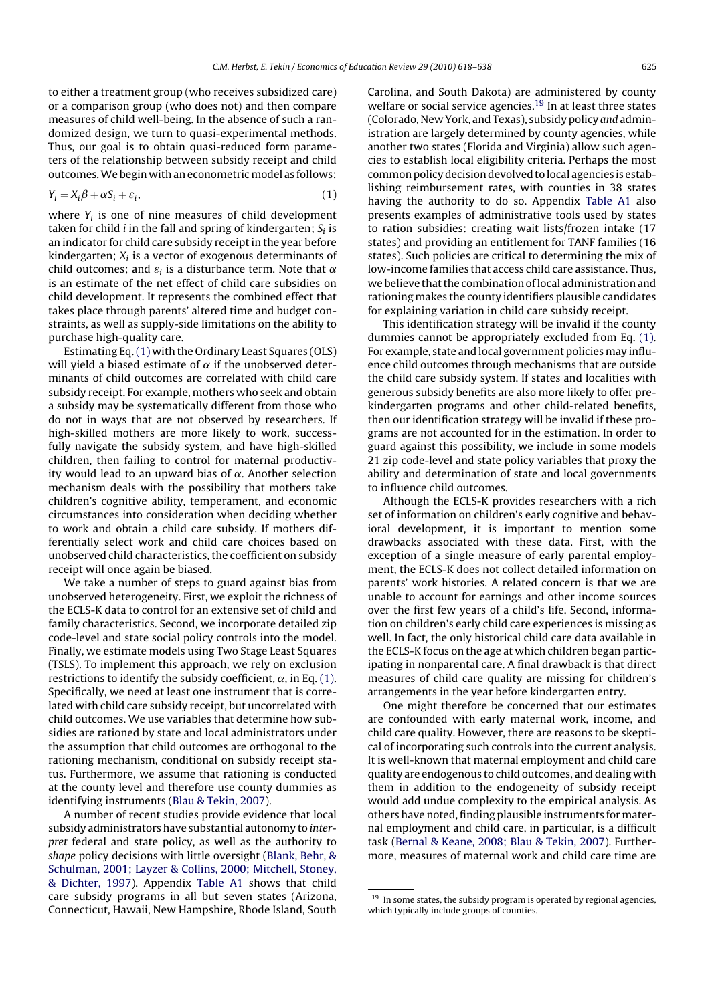to either a treatment group (who receives subsidized care) or a comparison group (who does not) and then compare measures of child well-being. In the absence of such a randomized design, we turn to quasi-experimental methods. Thus, our goal is to obtain quasi-reduced form parameters of the relationship between subsidy receipt and child outcomes. We begin with an econometric model as follows:

$$
Y_i = X_i \beta + \alpha S_i + \varepsilon_i, \tag{1}
$$

where  $Y_i$  is one of nine measures of child development taken for child *i* in the fall and spring of kindergarten;  $S_i$  is an indicator for child care subsidy receipt in the year before kindergarten;  $X_i$  is a vector of exogenous determinants of child outcomes; and  $\varepsilon_i$  is a disturbance term. Note that  $\alpha$ is an estimate of the net effect of child care subsidies on child development. It represents the combined effect that takes place through parents' altered time and budget constraints, as well as supply-side limitations on the ability to purchase high-quality care.

Estimating Eq.(1) with the Ordinary Least Squares (OLS) will yield a biased estimate of  $\alpha$  if the unobserved determinants of child outcomes are correlated with child care subsidy receipt. For example, mothers who seek and obtain a subsidy may be systematically different from those who do not in ways that are not observed by researchers. If high-skilled mothers are more likely to work, successfully navigate the subsidy system, and have high-skilled children, then failing to control for maternal productivity would lead to an upward bias of  $\alpha$ . Another selection mechanism deals with the possibility that mothers take children's cognitive ability, temperament, and economic circumstances into consideration when deciding whether to work and obtain a child care subsidy. If mothers differentially select work and child care choices based on unobserved child characteristics, the coefficient on subsidy receipt will once again be biased.

We take a number of steps to guard against bias from unobserved heterogeneity. First, we exploit the richness of the ECLS-K data to control for an extensive set of child and family characteristics. Second, we incorporate detailed zip code-level and state social policy controls into the model. Finally, we estimate models using Two Stage Least Squares (TSLS). To implement this approach, we rely on exclusion restrictions to identify the subsidy coefficient,  $\alpha$ , in Eq. (1). Specifically, we need at least one instrument that is correlated with child care subsidy receipt, but uncorrelated with child outcomes. We use variables that determine how subsidies are rationed by state and local administrators under the assumption that child outcomes are orthogonal to the rationing mechanism, conditional on subsidy receipt status. Furthermore, we assume that rationing is conducted at the county level and therefore use county dummies as identifying instruments (Blau & Tekin, 2007).

A number of recent studies provide evidence that local subsidy administrators have substantial autonomy to interpret federal and state policy, as well as the authority to shape policy decisions with little oversight (Blank, Behr, & Schulman, 2001; Layzer & Collins, 2000; Mitchell, Stoney, & Dichter, 1997). Appendix Table A1 shows that child care subsidy programs in all but seven states (Arizona, Connecticut, Hawaii, New Hampshire, Rhode Island, South Carolina, and South Dakota) are administered by county welfare or social service agencies.<sup>19</sup> In at least three states (Colorado, New York, and Texas), subsidy policy and administration are largely determined by county agencies, while another two states (Florida and Virginia) allow such agencies to establish local eligibility criteria. Perhaps the most common policy decision devolved to local agencies is establishing reimbursement rates, with counties in 38 states having the authority to do so. Appendix Table A1 also presents examples of administrative tools used by states to ration subsidies: creating wait lists/frozen intake (17 states) and providing an entitlement for TANF families (16 states). Such policies are critical to determining the mix of low-income families that access child care assistance. Thus, we believe that the combination of local administration and rationing makes the county identifiers plausible candidates for explaining variation in child care subsidy receipt.

This identification strategy will be invalid if the county dummies cannot be appropriately excluded from Eq. (1). For example, state and local government policies may influence child outcomes through mechanisms that are outside the child care subsidy system. If states and localities with generous subsidy benefits are also more likely to offer prekindergarten programs and other child-related benefits, then our identification strategy will be invalid if these programs are not accounted for in the estimation. In order to guard against this possibility, we include in some models 21 zip code-level and state policy variables that proxy the ability and determination of state and local governments to influence child outcomes.

Although the ECLS-K provides researchers with a rich set of information on children's early cognitive and behavioral development, it is important to mention some drawbacks associated with these data. First, with the exception of a single measure of early parental employment, the ECLS-K does not collect detailed information on parents' work histories. A related concern is that we are unable to account for earnings and other income sources over the first few years of a child's life. Second, information on children's early child care experiences is missing as well. In fact, the only historical child care data available in the ECLS-K focus on the age at which children began participating in nonparental care. A final drawback is that direct measures of child care quality are missing for children's arrangements in the year before kindergarten entry.

One might therefore be concerned that our estimates are confounded with early maternal work, income, and child care quality. However, there are reasons to be skeptical of incorporating such controls into the current analysis. It is well-known that maternal employment and child care quality are endogenous to child outcomes, and dealing with them in addition to the endogeneity of subsidy receipt would add undue complexity to the empirical analysis. As others have noted, finding plausible instruments for maternal employment and child care, in particular, is a difficult task (Bernal & Keane, 2008; Blau & Tekin, 2007). Furthermore, measures of maternal work and child care time are

<sup>&</sup>lt;sup>19</sup> In some states, the subsidy program is operated by regional agencies, which typically include groups of counties.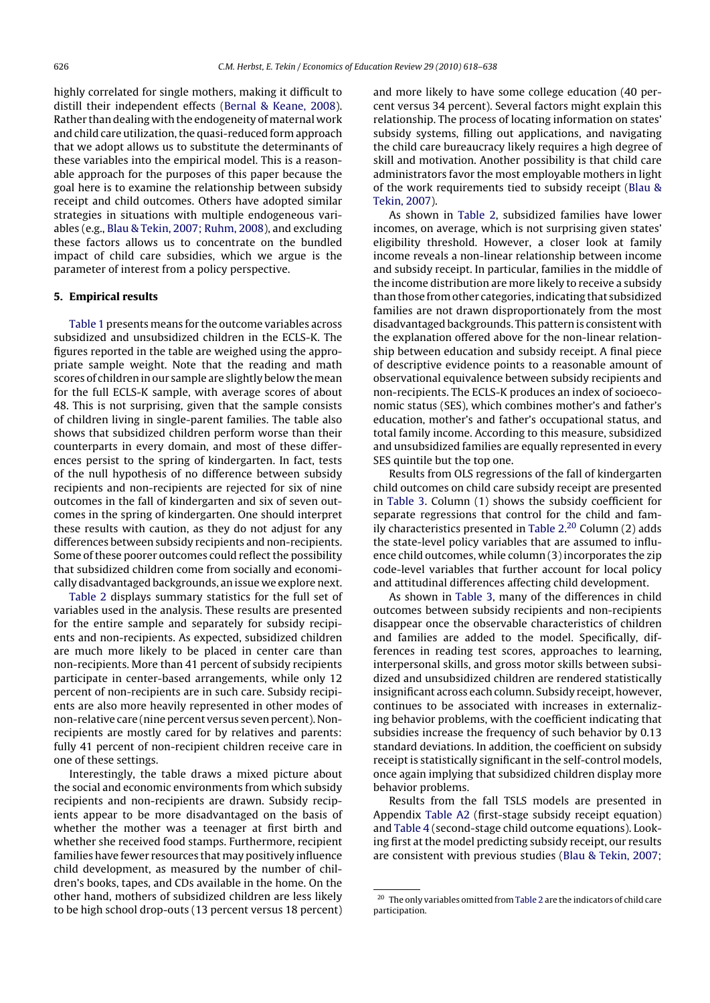highly correlated for single mothers, making it difficult to distill their independent effects (Bernal & Keane, 2008). Rather than dealing with the endogeneity of maternal work and child care utilization, the quasi-reduced form approach that we adopt allows us to substitute the determinants of these variables into the empirical model. This is a reasonable approach for the purposes of this paper because the goal here is to examine the relationship between subsidy receipt and child outcomes. Others have adopted similar strategies in situations with multiple endogeneous variables (e.g., Blau & Tekin, 2007; Ruhm, 2008), and excluding these factors allows us to concentrate on the bundled impact of child care subsidies, which we argue is the parameter of interest from a policy perspective.

#### 5. Empirical results

Table 1 presents means for the outcome variables across subsidized and unsubsidized children in the ECLS-K. The figures reported in the table are weighed using the appropriate sample weight. Note that the reading and math scores of children in our sample are slightly below the mean for the full ECLS-K sample, with average scores of about 48. This is not surprising, given that the sample consists of children living in single-parent families. The table also shows that subsidized children perform worse than their counterparts in every domain, and most of these differences persist to the spring of kindergarten. In fact, tests of the null hypothesis of no difference between subsidy recipients and non-recipients are rejected for six of nine outcomes in the fall of kindergarten and six of seven outcomes in the spring of kindergarten. One should interpret these results with caution, as they do not adjust for any differences between subsidy recipients and non-recipients. Some of these poorer outcomes could reflect the possibility that subsidized children come from socially and economically disadvantaged backgrounds, an issue we explore next.

Table 2 displays summary statistics for the full set of variables used in the analysis. These results are presented for the entire sample and separately for subsidy recipients and non-recipients. As expected, subsidized children are much more likely to be placed in center care than non-recipients. More than 41 percent of subsidy recipients participate in center-based arrangements, while only 12 percent of non-recipients are in such care. Subsidy recipients are also more heavily represented in other modes of non-relative care (nine percent versus seven percent). Nonrecipients are mostly cared for by relatives and parents: fully 41 percent of non-recipient children receive care in one of these settings.

Interestingly, the table draws a mixed picture about the social and economic environments from which subsidy recipients and non-recipients are drawn. Subsidy recipients appear to be more disadvantaged on the basis of whether the mother was a teenager at first birth and whether she received food stamps. Furthermore, recipient families have fewer resources that may positively influence child development, as measured by the number of children's books, tapes, and CDs available in the home. On the other hand, mothers of subsidized children are less likely to be high school drop-outs (13 percent versus 18 percent)

and more likely to have some college education (40 percent versus 34 percent). Several factors might explain this relationship. The process of locating information on states' subsidy systems, filling out applications, and navigating the child care bureaucracy likely requires a high degree of skill and motivation. Another possibility is that child care administrators favor the most employable mothers in light of the work requirements tied to subsidy receipt (Blau & Tekin, 2007).

As shown in Table 2, subsidized families have lower incomes, on average, which is not surprising given states' eligibility threshold. However, a closer look at family income reveals a non-linear relationship between income and subsidy receipt. In particular, families in the middle of the income distribution are more likely to receive a subsidy than those from other categories, indicating that subsidized families are not drawn disproportionately from the most disadvantaged backgrounds. This pattern is consistent with the explanation offered above for the non-linear relationship between education and subsidy receipt. A final piece of descriptive evidence points to a reasonable amount of observational equivalence between subsidy recipients and non-recipients. The ECLS-K produces an index of socioeconomic status (SES), which combines mother's and father's education, mother's and father's occupational status, and total family income. According to this measure, subsidized and unsubsidized families are equally represented in every SES quintile but the top one.

Results from OLS regressions of the fall of kindergarten child outcomes on child care subsidy receipt are presented in Table 3. Column (1) shows the subsidy coefficient for separate regressions that control for the child and family characteristics presented in Table 2. <sup>20</sup> Column (2) adds the state-level policy variables that are assumed to influence child outcomes, while column (3) incorporates the zip code-level variables that further account for local policy and attitudinal differences affecting child development.

As shown in Table 3, many of the differences in child outcomes between subsidy recipients and non-recipients disappear once the observable characteristics of children and families are added to the model. Specifically, differences in reading test scores, approaches to learning, interpersonal skills, and gross motor skills between subsidized and unsubsidized children are rendered statistically insignificant across each column. Subsidy receipt, however, continues to be associated with increases in externalizing behavior problems, with the coefficient indicating that subsidies increase the frequency of such behavior by 0.13 standard deviations. In addition, the coefficient on subsidy receipt is statistically significant in the self-control models, once again implying that subsidized children display more behavior problems.

Results from the fall TSLS models are presented in Appendix Table A2 (first-stage subsidy receipt equation) and Table 4 (second-stage child outcome equations). Looking first at the model predicting subsidy receipt, our results are consistent with previous studies (Blau & Tekin, 2007;

<sup>&</sup>lt;sup>20</sup> The only variables omitted from Table 2 are the indicators of child care participation.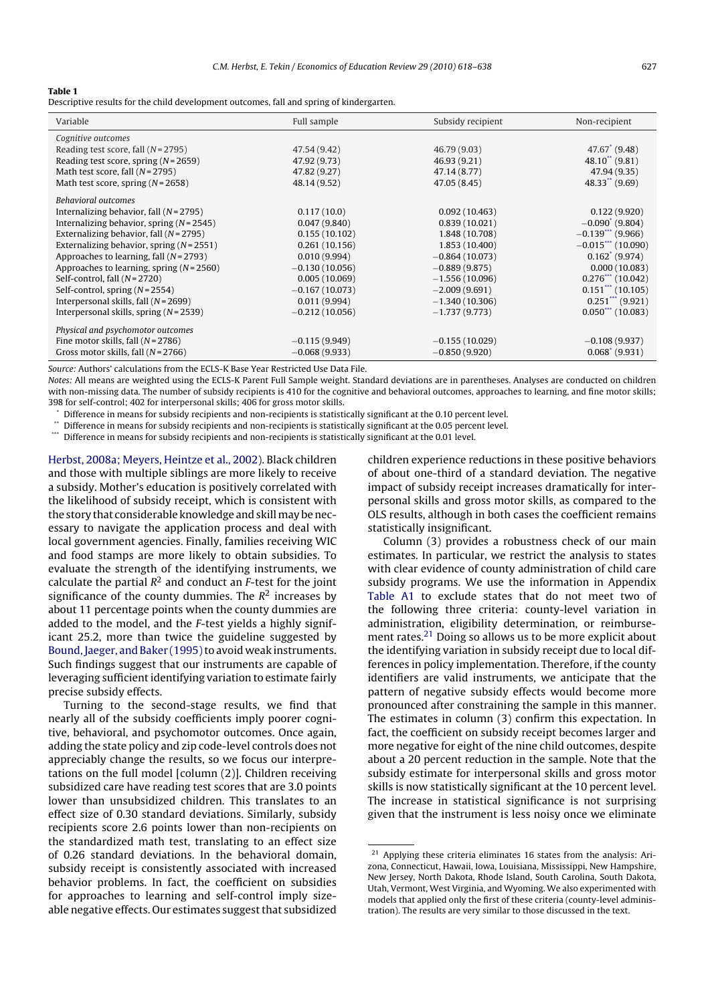Table 1

|  |  |  |  | Descriptive results for the child development outcomes, fall and spring of kindergarten. |  |  |  |  |
|--|--|--|--|------------------------------------------------------------------------------------------|--|--|--|--|
|--|--|--|--|------------------------------------------------------------------------------------------|--|--|--|--|

| Variable                                    | Full sample      | Subsidy recipient | Non-recipient                 |
|---------------------------------------------|------------------|-------------------|-------------------------------|
| Cognitive outcomes                          |                  |                   |                               |
| Reading test score, fall $(N = 2795)$       | 47.54 (9.42)     | 46.79 (9.03)      | $47.67$ (9.48)                |
| Reading test score, spring $(N = 2659)$     | 47.92 (9.73)     | 46.93 (9.21)      | $48.10$ (9.81)                |
| Math test score, fall $(N=2795)$            | 47.82 (9.27)     | 47.14 (8.77)      | 47.94 (9.35)                  |
| Math test score, spring $(N = 2658)$        | 48.14 (9.52)     | 47.05 (8.45)      | $48.33$ (9.69)                |
| Behavioral outcomes                         |                  |                   |                               |
| Internalizing behavior, fall $(N=2795)$     | 0.117(10.0)      | 0.092(10.463)     | 0.122(9.920)                  |
| Internalizing behavior, spring $(N=2545)$   | 0.047(9.840)     | 0.839(10.021)     | $-0.090$ <sup>*</sup> (9.804) |
| Externalizing behavior, fall $(N = 2795)$   | 0.155(10.102)    | 1.848 (10.708)    | $-0.139$ (9.966)              |
| Externalizing behavior, spring $(N = 2551)$ | 0.261(10.156)    | 1.853 (10.400)    | $-0.015$ (10.090)             |
| Approaches to learning, fall $(N = 2793)$   | 0.010(9.994)     | $-0.864(10.073)$  | $0.162^* (9.974)$             |
| Approaches to learning, spring $(N = 2560)$ | $-0.130(10.056)$ | $-0.889(9.875)$   | 0.000(10.083)                 |
| Self-control, fall $(N=2720)$               | 0.005(10.069)    | $-1.556(10.096)$  | $0.276$ (10.042)              |
| Self-control, spring $(N=2554)$             | $-0.167(10.073)$ | $-2.009(9.691)$   | $0.151$ (10.105)              |
| Interpersonal skills, fall $(N = 2699)$     | 0.011(9.994)     | $-1.340(10.306)$  | $0.251$ (9.921)               |
| Interpersonal skills, spring $(N = 2539)$   | $-0.212(10.056)$ | $-1.737(9.773)$   | $0.050$ (10.083)              |
| Physical and psychomotor outcomes           |                  |                   |                               |
| Fine motor skills, fall $(N=2786)$          | $-0.115(9.949)$  | $-0.155(10.029)$  | $-0.108(9.937)$               |
| Gross motor skills, fall $(N=2766)$         | $-0.068(9.933)$  | $-0.850(9.920)$   | $0.068'$ (9.931)              |
|                                             |                  |                   |                               |

Source: Authors' calculations from the ECLS-K Base Year Restricted Use Data File.

Notes: All means are weighted using the ECLS-K Parent Full Sample weight. Standard deviations are in parentheses. Analyses are conducted on children with non-missing data. The number of subsidy recipients is 410 for the cognitive and behavioral outcomes, approaches to learning, and fine motor skills; 398 for self-control; 402 for interpersonal skills; 406 for gross motor skills.

\* Difference in means for subsidy recipients and non-recipients is statistically significant at the 0.10 percent level.

Difference in means for subsidy recipients and non-recipients is statistically significant at the 0.05 percent level.

Difference in means for subsidy recipients and non-recipients is statistically significant at the 0.01 level.

Herbst, 2008a; Meyers, Heintze et al., 2002). Black children and those with multiple siblings are more likely to receive a subsidy. Mother's education is positively correlated with the likelihood of subsidy receipt, which is consistent with the story that considerable knowledge and skill may be necessary to navigate the application process and deal with local government agencies. Finally, families receiving WIC and food stamps are more likely to obtain subsidies. To evaluate the strength of the identifying instruments, we calculate the partial  $R^2$  and conduct an *F*-test for the joint significance of the county dummies. The  $R^2$  increases by about 11 percentage points when the county dummies are added to the model, and the F-test yields a highly significant 25.2, more than twice the guideline suggested by Bound, Jaeger, and Baker (1995) to avoid weak instruments. Such findings suggest that our instruments are capable of leveraging sufficient identifying variation to estimate fairly precise subsidy effects.

Turning to the second-stage results, we find that nearly all of the subsidy coefficients imply poorer cognitive, behavioral, and psychomotor outcomes. Once again, adding the state policy and zip code-level controls does not appreciably change the results, so we focus our interpretations on the full model [column (2)]. Children receiving subsidized care have reading test scores that are 3.0 points lower than unsubsidized children. This translates to an effect size of 0.30 standard deviations. Similarly, subsidy recipients score 2.6 points lower than non-recipients on the standardized math test, translating to an effect size of 0.26 standard deviations. In the behavioral domain, subsidy receipt is consistently associated with increased behavior problems. In fact, the coefficient on subsidies for approaches to learning and self-control imply sizeable negative effects. Our estimates suggest that subsidized

children experience reductions in these positive behaviors of about one-third of a standard deviation. The negative impact of subsidy receipt increases dramatically for interpersonal skills and gross motor skills, as compared to the OLS results, although in both cases the coefficient remains statistically insignificant.

Column (3) provides a robustness check of our main estimates. In particular, we restrict the analysis to states with clear evidence of county administration of child care subsidy programs. We use the information in Appendix Table A1 to exclude states that do not meet two of the following three criteria: county-level variation in administration, eligibility determination, or reimbursement rates.<sup>21</sup> Doing so allows us to be more explicit about the identifying variation in subsidy receipt due to local differences in policy implementation. Therefore, if the county identifiers are valid instruments, we anticipate that the pattern of negative subsidy effects would become more pronounced after constraining the sample in this manner. The estimates in column (3) confirm this expectation. In fact, the coefficient on subsidy receipt becomes larger and more negative for eight of the nine child outcomes, despite about a 20 percent reduction in the sample. Note that the subsidy estimate for interpersonal skills and gross motor skills is now statistically significant at the 10 percent level. The increase in statistical significance is not surprising given that the instrument is less noisy once we eliminate

<sup>&</sup>lt;sup>21</sup> Applying these criteria eliminates 16 states from the analysis: Arizona, Connecticut, Hawaii, Iowa, Louisiana, Mississippi, New Hampshire, New Jersey, North Dakota, Rhode Island, South Carolina, South Dakota, Utah, Vermont, West Virginia, and Wyoming. We also experimented with models that applied only the first of these criteria (county-level administration). The results are very similar to those discussed in the text.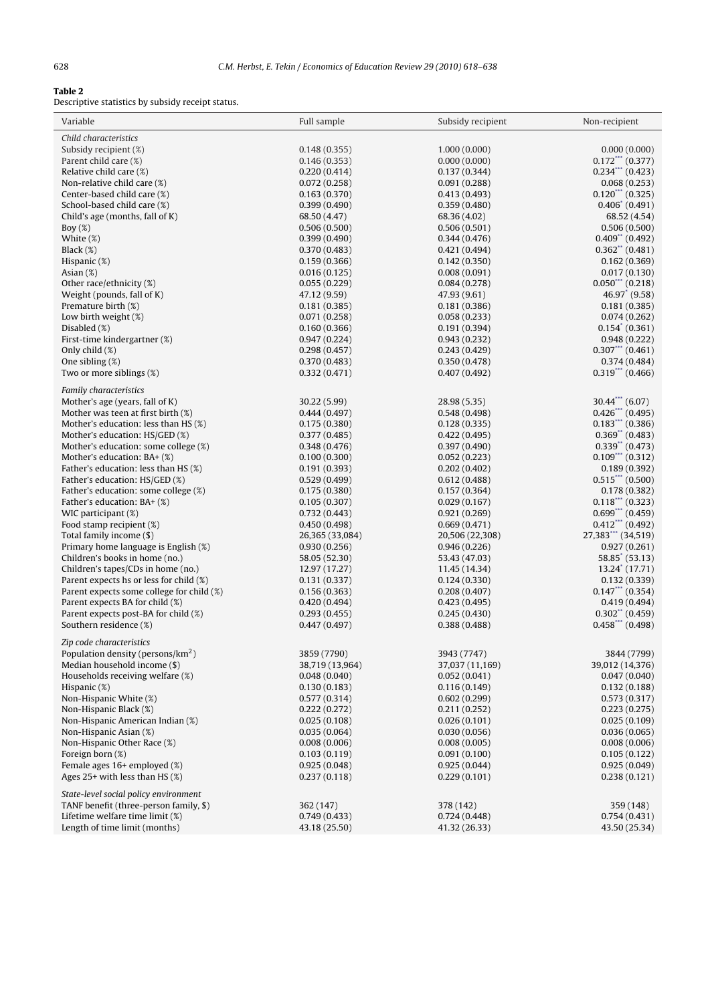#### Table 2

Descriptive statistics by subsidy receipt status.

| Variable                                      | Full sample     | Subsidy recipient | Non-recipient                 |
|-----------------------------------------------|-----------------|-------------------|-------------------------------|
| Child characteristics                         |                 |                   |                               |
| Subsidy recipient (%)                         | 0.148(0.355)    | 1.000(0.000)      | 0.000(0.000)                  |
| Parent child care (%)                         | 0.146(0.353)    | 0.000(0.000)      | $0.172***$ $(0.377)$          |
| Relative child care (%)                       | 0.220(0.414)    | 0.137(0.344)      | $0.234$ (0.423)               |
| Non-relative child care (%)                   | 0.072(0.258)    | 0.091(0.288)      | 0.068(0.253)                  |
| Center-based child care (%)                   | 0.163(0.370)    | 0.413(0.493)      | $0.120$ (0.325)               |
| School-based child care (%)                   | 0.399(0.490)    | 0.359(0.480)      | $0.406'$ (0.491)              |
| Child's age (months, fall of $K$ )            | 68.50 (4.47)    | 68.36 (4.02)      | 68.52 (4.54)                  |
| Boy $(\%)$                                    | 0.506(0.500)    | 0.506(0.501)      | 0.506(0.500)                  |
| White $(\%)$                                  | 0.399(0.490)    | 0.344(0.476)      | $0.409$ (0.492)               |
| Black $(\%)$                                  | 0.370(0.483)    | 0.421(0.494)      | $0.362$ (0.481)               |
| Hispanic (%)                                  | 0.159(0.366)    | 0.142(0.350)      | 0.162(0.369)                  |
| Asian $(\%)$                                  | 0.016(0.125)    | 0.008(0.091)      | 0.017(0.130)                  |
| Other race/ethnicity (%)                      | 0.055(0.229)    | 0.084(0.278)      | $0.050$ (0.218)               |
| Weight (pounds, fall of K)                    | 47.12 (9.59)    | 47.93 (9.61)      | $46.97$ (9.58)                |
| Premature birth (%)                           | 0.181(0.385)    | 0.181(0.386)      | 0.181(0.385)                  |
| Low birth weight $(\%)$                       | 0.071(0.258)    | 0.058(0.233)      | 0.074(0.262)                  |
| Disabled (%)                                  | 0.160(0.366)    | 0.191(0.394)      | 0.154' (0.361)                |
| First-time kindergartner (%)                  | 0.947(0.224)    | 0.943(0.232)      | 0.948(0.222)                  |
| Only child (%)                                | 0.298(0.457)    | 0.243(0.429)      | $0.307$ (0.461)               |
| One sibling $(\%)$                            | 0.370(0.483)    | 0.350(0.478)      | 0.374(0.484)                  |
| Two or more siblings (%)                      | 0.332(0.471)    | 0.407(0.492)      | $0.319$ (0.466)               |
| <b>Family characteristics</b>                 |                 |                   |                               |
| Mother's age (years, fall of K)               | 30.22 (5.99)    | 28.98 (5.35)      | $30.44$ (6.07)                |
| Mother was teen at first birth (%)            | 0.444(0.497)    | 0.548(0.498)      | $0.426$ (0.495)               |
| Mother's education: less than HS (%)          | 0.175(0.380)    | 0.128(0.335)      | $0.183***$ $(0.386)$          |
| Mother's education: HS/GED (%)                | 0.377(0.485)    | 0.422(0.495)      | $0.369$ ** (0.483)            |
| Mother's education: some college (%)          | 0.348(0.476)    | 0.397(0.490)      | $0.339$ ** (0.473)            |
| Mother's education: BA+ (%)                   | 0.100(0.300)    | 0.052(0.223)      | $0.109***$ $(0.312)$          |
| Father's education: less than HS (%)          | 0.191(0.393)    | 0.202(0.402)      | 0.189(0.392)                  |
| Father's education: HS/GED (%)                | 0.529(0.499)    | 0.612(0.488)      | $0.515$ (0.500)               |
| Father's education: some college (%)          | 0.175(0.380)    | 0.157(0.364)      | 0.178(0.382)                  |
| Father's education: BA+ (%)                   | 0.105(0.307)    | 0.029(0.167)      | $0.118$ (0.323)               |
| WIC participant (%)                           | 0.732(0.443)    | 0.921(0.269)      | $0.699***$ $(0.459)$          |
| Food stamp recipient (%)                      | 0.450(0.498)    | 0.669(0.471)      | $0.412***$ $(0.492)$          |
| Total family income (\$)                      | 26,365 (33,084) | 20,506 (22,308)   | 27,383*** (34,519)            |
| Primary home language is English (%)          | 0.930(0.256)    | 0.946(0.226)      | 0.927(0.261)                  |
| Children's books in home (no.)                | 58.05 (52.30)   | 53.43 (47.03)     | 58.85' (53.13)                |
| Children's tapes/CDs in home (no.)            | 12.97 (17.27)   | 11.45 (14.34)     | $13.24^{\circ} (17.71)$       |
| Parent expects hs or less for child (%)       | 0.131(0.337)    | 0.124(0.330)      | 0.132(0.339)                  |
| Parent expects some college for child (%)     | 0.156(0.363)    | 0.208(0.407)      | $0.147***$ $(0.354)$          |
| Parent expects BA for child (%)               | 0.420(0.494)    | 0.423(0.495)      | 0.419(0.494)                  |
| Parent expects post-BA for child (%)          | 0.293(0.455)    | 0.245(0.430)      | $0.302$ <sup>**</sup> (0.459) |
| Southern residence (%)                        | 0.447(0.497)    | 0.388(0.488)      | $0.458$ (0.498)               |
|                                               |                 |                   |                               |
| Zip code characteristics                      |                 |                   |                               |
| Population density (persons/km <sup>2</sup> ) | 3859 (7790)     | 3943 (7747)       | 3844 (7799)                   |
| Median household income (\$)                  | 38,719 (13,964) | 37,037 (11,169)   | 39,012 (14,376)               |
| Households receiving welfare (%)              | 0.048(0.040)    | 0.052(0.041)      | 0.047(0.040)                  |
| Hispanic $(\%)$                               | 0.130(0.183)    | 0.116(0.149)      | 0.132(0.188)                  |
| Non-Hispanic White (%)                        | 0.577(0.314)    | 0.602(0.299)      | 0.573(0.317)                  |
| Non-Hispanic Black (%)                        | 0.222(0.272)    | 0.211(0.252)      | 0.223(0.275)                  |
| Non-Hispanic American Indian (%)              | 0.025(0.108)    | 0.026(0.101)      | 0.025(0.109)                  |
| Non-Hispanic Asian (%)                        | 0.035(0.064)    | 0.030(0.056)      | 0.036(0.065)                  |
| Non-Hispanic Other Race (%)                   | 0.008(0.006)    | 0.008(0.005)      | 0.008(0.006)                  |
| Foreign born $(\%)$                           | 0.103(0.119)    | 0.091(0.100)      | 0.105(0.122)                  |
| Female ages 16+ employed (%)                  | 0.925(0.048)    | 0.925(0.044)      | 0.925(0.049)                  |
| Ages $25+$ with less than HS $(\%)$           | 0.237(0.118)    | 0.229(0.101)      | 0.238(0.121)                  |
| State-level social policy environment         |                 |                   |                               |
| TANF benefit (three-person family, \$)        | 362 (147)       | 378 (142)         | 359 (148)                     |
| Lifetime welfare time limit (%)               | 0.749(0.433)    | 0.724(0.448)      | 0.754(0.431)                  |
| Length of time limit (months)                 | 43.18 (25.50)   | 41.32 (26.33)     | 43.50 (25.34)                 |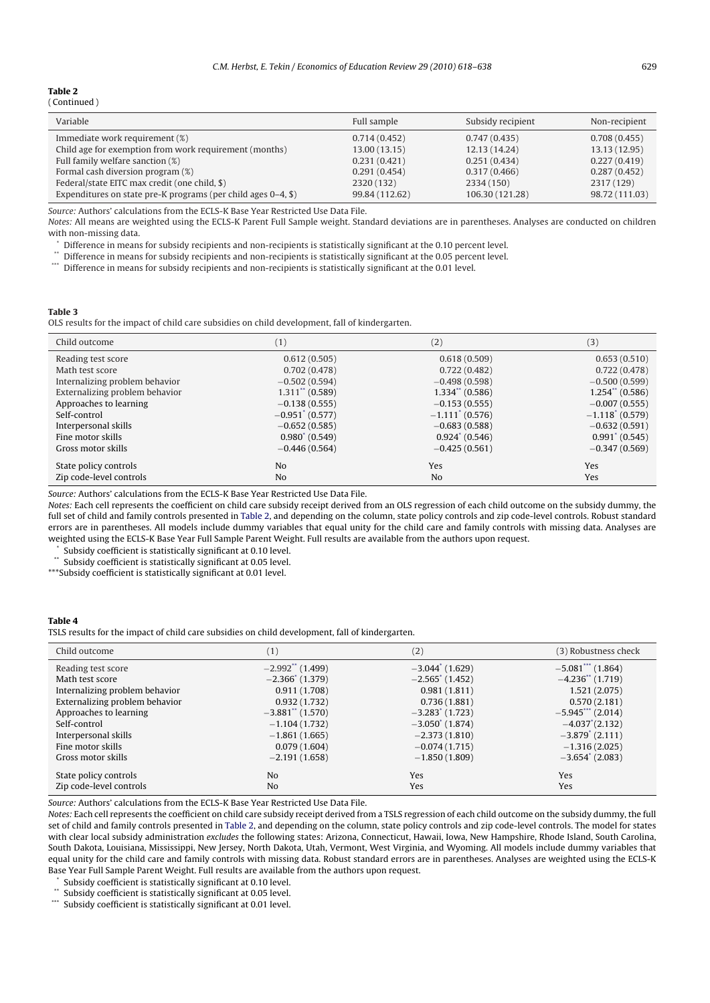| Table 2     |  |
|-------------|--|
| (Continued) |  |

| Variable                                                         | Full sample    | Subsidy recipient | Non-recipient  |
|------------------------------------------------------------------|----------------|-------------------|----------------|
| Immediate work requirement (%)                                   | 0.714(0.452)   | 0.747(0.435)      | 0.708(0.455)   |
| Child age for exemption from work requirement (months)           | 13.00(13.15)   | 12.13 (14.24)     | 13.13 (12.95)  |
| Full family welfare sanction (%)                                 | 0.231(0.421)   | 0.251(0.434)      | 0.227(0.419)   |
| Formal cash diversion program (%)                                | 0.291(0.454)   | 0.317(0.466)      | 0.287(0.452)   |
| Federal/state EITC max credit (one child, \$)                    | 2320 (132)     | 2334 (150)        | 2317 (129)     |
| Expenditures on state pre-K programs (per child ages $0-4$ , \$) | 99.84 (112.62) | 106.30 (121.28)   | 98.72 (111.03) |

Source: Authors' calculations from the ECLS-K Base Year Restricted Use Data File.

Notes: All means are weighted using the ECLS-K Parent Full Sample weight. Standard deviations are in parentheses. Analyses are conducted on children with non-missing data.

\* Difference in means for subsidy recipients and non-recipients is statistically significant at the 0.10 percent level.

\*\* Difference in means for subsidy recipients and non-recipients is statistically significant at the 0.05 percent level.

\*\*\* Difference in means for subsidy recipients and non-recipients is statistically significant at the 0.01 level.

#### Table 3

OLS results for the impact of child care subsidies on child development, fall of kindergarten.

| Child outcome                  | (1)                       | $\left( 2\right)$             | (3)               |
|--------------------------------|---------------------------|-------------------------------|-------------------|
| Reading test score             | 0.612(0.505)              | 0.618(0.509)                  | 0.653(0.510)      |
| Math test score                | 0.702(0.478)              | 0.722(0.482)                  | 0.722(0.478)      |
| Internalizing problem behavior | $-0.502(0.594)$           | $-0.498(0.598)$               | $-0.500(0.599)$   |
| Externalizing problem behavior | $1.311$ " (0.589)         | $1.334$ " (0.586)             | $1.254$ " (0.586) |
| Approaches to learning         | $-0.138(0.555)$           | $-0.153(0.555)$               | $-0.007(0.555)$   |
| Self-control                   | $-0.951$ (0.577)          | $-1.111$ <sup>*</sup> (0.576) | $-1.118$ (0.579)  |
| Interpersonal skills           | $-0.652(0.585)$           | $-0.683(0.588)$               | $-0.632(0.591)$   |
| Fine motor skills              | $0.980^{\degree}$ (0.549) | $0.924$ (0.546)               | $0.991$ (0.545)   |
| Gross motor skills             | $-0.446(0.564)$           | $-0.425(0.561)$               | $-0.347(0.569)$   |
| State policy controls          | N <sub>0</sub>            | <b>Yes</b>                    | Yes               |
| Zip code-level controls        | N <sub>0</sub>            | N <sub>0</sub>                | Yes               |

Source: Authors' calculations from the ECLS-K Base Year Restricted Use Data File.

Notes: Each cell represents the coefficient on child care subsidy receipt derived from an OLS regression of each child outcome on the subsidy dummy, the full set of child and family controls presented in Table 2, and depending on the column, state policy controls and zip code-level controls. Robust standard errors are in parentheses. All models include dummy variables that equal unity for the child care and family controls with missing data. Analyses are weighted using the ECLS-K Base Year Full Sample Parent Weight. Full results are available from the authors upon request.

\* Subsidy coefficient is statistically significant at 0.10 level.

Subsidy coefficient is statistically significant at 0.05 level.

\*\*\*Subsidy coefficient is statistically significant at 0.01 level.

#### Table 4

TSLS results for the impact of child care subsidies on child development, fall of kindergarten.

| Child outcome                  | (1)                | (2)                           | (3) Robustness check     |
|--------------------------------|--------------------|-------------------------------|--------------------------|
| Reading test score             | $-2.992$ (1.499)   | $-3.044$ <sup>*</sup> (1.629) | $-5.081$ (1.864)         |
| Math test score                | $-2.366'$ (1.379)  | $-2.565$ <sup>*</sup> (1.452) | $-4.236$ " (1.719)       |
| Internalizing problem behavior | 0.911(1.708)       | 0.981(1.811)                  | 1.521(2.075)             |
| Externalizing problem behavior | 0.932(1.732)       | 0.736(1.881)                  | 0.570(2.181)             |
| Approaches to learning         | $-3.881$ " (1.570) | $-3.283$ (1.723)              | $-5.945$ (2.014)         |
| Self-control                   | $-1.104(1.732)$    | $-3.050$ (1.874)              | $-4.037(2.132)$          |
| Interpersonal skills           | $-1.861(1.665)$    | $-2.373(1.810)$               | $-3.879'$ (2.111)        |
| Fine motor skills              | 0.079(1.604)       | $-0.074(1.715)$               | $-1.316(2.025)$          |
| Gross motor skills             | $-2.191(1.658)$    | $-1.850(1.809)$               | $-3.654^{\circ}$ (2.083) |
| State policy controls          | N <sub>0</sub>     | Yes                           | Yes                      |
| Zip code-level controls        | N <sub>0</sub>     | Yes                           | Yes                      |

Source: Authors' calculations from the ECLS-K Base Year Restricted Use Data File.

Notes: Each cell represents the coefficient on child care subsidy receipt derived from a TSLS regression of each child outcome on the subsidy dummy, the full set of child and family controls presented in Table 2, and depending on the column, state policy controls and zip code-level controls. The model for states with clear local subsidy administration excludes the following states: Arizona, Connecticut, Hawaii, Iowa, New Hampshire, Rhode Island, South Carolina, South Dakota, Louisiana, Mississippi, New Jersey, North Dakota, Utah, Vermont, West Virginia, and Wyoming. All models include dummy variables that equal unity for the child care and family controls with missing data. Robust standard errors are in parentheses. Analyses are weighted using the ECLS-K Base Year Full Sample Parent Weight. Full results are available from the authors upon request.

\* Subsidy coefficient is statistically significant at 0.10 level.

\*\* Subsidy coefficient is statistically significant at 0.05 level.

\*\*\* Subsidy coefficient is statistically significant at 0.01 level.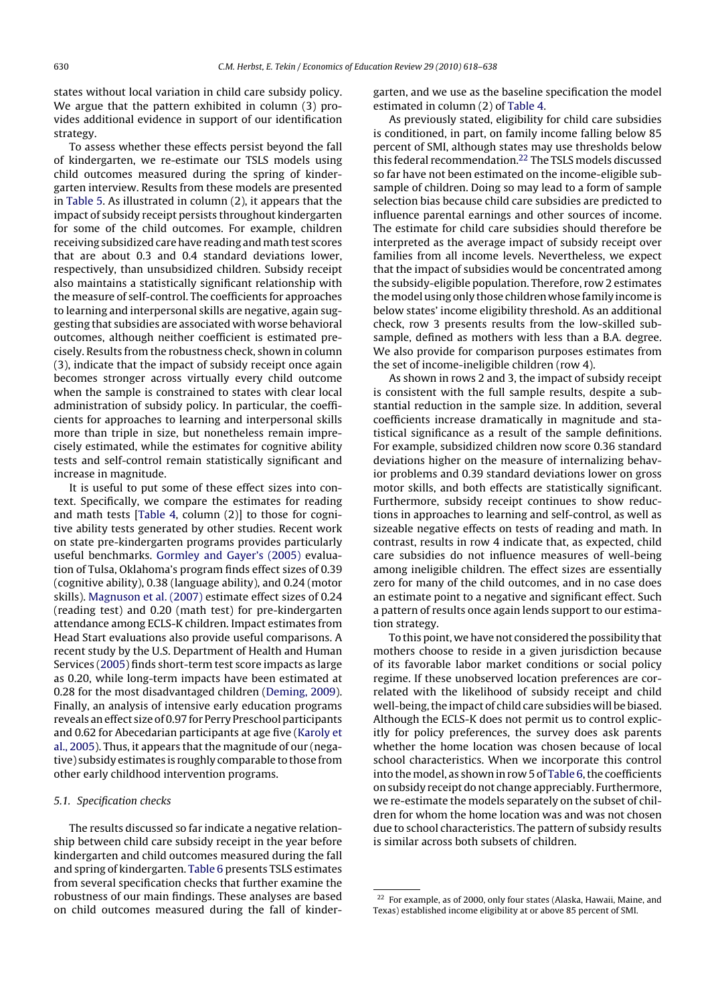states without local variation in child care subsidy policy. We argue that the pattern exhibited in column (3) provides additional evidence in support of our identification strategy.

To assess whether these effects persist beyond the fall of kindergarten, we re-estimate our TSLS models using child outcomes measured during the spring of kindergarten interview. Results from these models are presented in Table 5. As illustrated in column (2), it appears that the impact of subsidy receipt persists throughout kindergarten for some of the child outcomes. For example, children receiving subsidized care have reading and math test scores that are about 0.3 and 0.4 standard deviations lower, respectively, than unsubsidized children. Subsidy receipt also maintains a statistically significant relationship with the measure of self-control. The coefficients for approaches to learning and interpersonal skills are negative, again suggesting that subsidies are associated with worse behavioral outcomes, although neither coefficient is estimated precisely. Results from the robustness check, shown in column (3), indicate that the impact of subsidy receipt once again becomes stronger across virtually every child outcome when the sample is constrained to states with clear local administration of subsidy policy. In particular, the coefficients for approaches to learning and interpersonal skills more than triple in size, but nonetheless remain imprecisely estimated, while the estimates for cognitive ability tests and self-control remain statistically significant and increase in magnitude.

It is useful to put some of these effect sizes into context. Specifically, we compare the estimates for reading and math tests [Table 4, column (2)] to those for cognitive ability tests generated by other studies. Recent work on state pre-kindergarten programs provides particularly useful benchmarks. Gormley and Gayer's (2005) evaluation of Tulsa, Oklahoma's program finds effect sizes of 0.39 (cognitive ability), 0.38 (language ability), and 0.24 (motor skills). Magnuson et al. (2007) estimate effect sizes of 0.24 (reading test) and 0.20 (math test) for pre-kindergarten attendance among ECLS-K children. Impact estimates from Head Start evaluations also provide useful comparisons. A recent study by the U.S. Department of Health and Human Services (2005) finds short-term test score impacts as large as 0.20, while long-term impacts have been estimated at 0.28 for the most disadvantaged children (Deming, 2009). Finally, an analysis of intensive early education programs reveals an effect size of 0.97 for Perry Preschool participants and 0.62 for Abecedarian participants at age five (Karoly et al., 2005). Thus, it appears that the magnitude of our (negative) subsidy estimates is roughly comparable to those from other early childhood intervention programs.

## 5.1. Specification checks

The results discussed so far indicate a negative relationship between child care subsidy receipt in the year before kindergarten and child outcomes measured during the fall and spring of kindergarten. Table 6 presents TSLS estimates from several specification checks that further examine the robustness of our main findings. These analyses are based on child outcomes measured during the fall of kinder-

garten, and we use as the baseline specification the model estimated in column (2) of Table 4.

As previously stated, eligibility for child care subsidies is conditioned, in part, on family income falling below 85 percent of SMI, although states may use thresholds below this federal recommendation.22 The TSLS models discussed so far have not been estimated on the income-eligible subsample of children. Doing so may lead to a form of sample selection bias because child care subsidies are predicted to influence parental earnings and other sources of income. The estimate for child care subsidies should therefore be interpreted as the average impact of subsidy receipt over families from all income levels. Nevertheless, we expect that the impact of subsidies would be concentrated among the subsidy-eligible population. Therefore, row 2 estimates themodel using only those children whose family income is below states' income eligibility threshold. As an additional check, row 3 presents results from the low-skilled subsample, defined as mothers with less than a B.A. degree. We also provide for comparison purposes estimates from the set of income-ineligible children (row 4).

As shown in rows 2 and 3, the impact of subsidy receipt is consistent with the full sample results, despite a substantial reduction in the sample size. In addition, several coefficients increase dramatically in magnitude and statistical significance as a result of the sample definitions. For example, subsidized children now score 0.36 standard deviations higher on the measure of internalizing behavior problems and 0.39 standard deviations lower on gross motor skills, and both effects are statistically significant. Furthermore, subsidy receipt continues to show reductions in approaches to learning and self-control, as well as sizeable negative effects on tests of reading and math. In contrast, results in row 4 indicate that, as expected, child care subsidies do not influence measures of well-being among ineligible children. The effect sizes are essentially zero for many of the child outcomes, and in no case does an estimate point to a negative and significant effect. Such a pattern of results once again lends support to our estimation strategy.

To this point, we have not considered the possibility that mothers choose to reside in a given jurisdiction because of its favorable labor market conditions or social policy regime. If these unobserved location preferences are correlated with the likelihood of subsidy receipt and child well-being, the impact of child care subsidies will be biased. Although the ECLS-K does not permit us to control explicitly for policy preferences, the survey does ask parents whether the home location was chosen because of local school characteristics. When we incorporate this control into the model, as shown in row 5 of Table 6, the coefficients on subsidy receipt do not change appreciably. Furthermore, we re-estimate the models separately on the subset of children for whom the home location was and was not chosen due to school characteristics. The pattern of subsidy results is similar across both subsets of children.

<sup>&</sup>lt;sup>22</sup> For example, as of 2000, only four states (Alaska, Hawaii, Maine, and Texas) established income eligibility at or above 85 percent of SMI.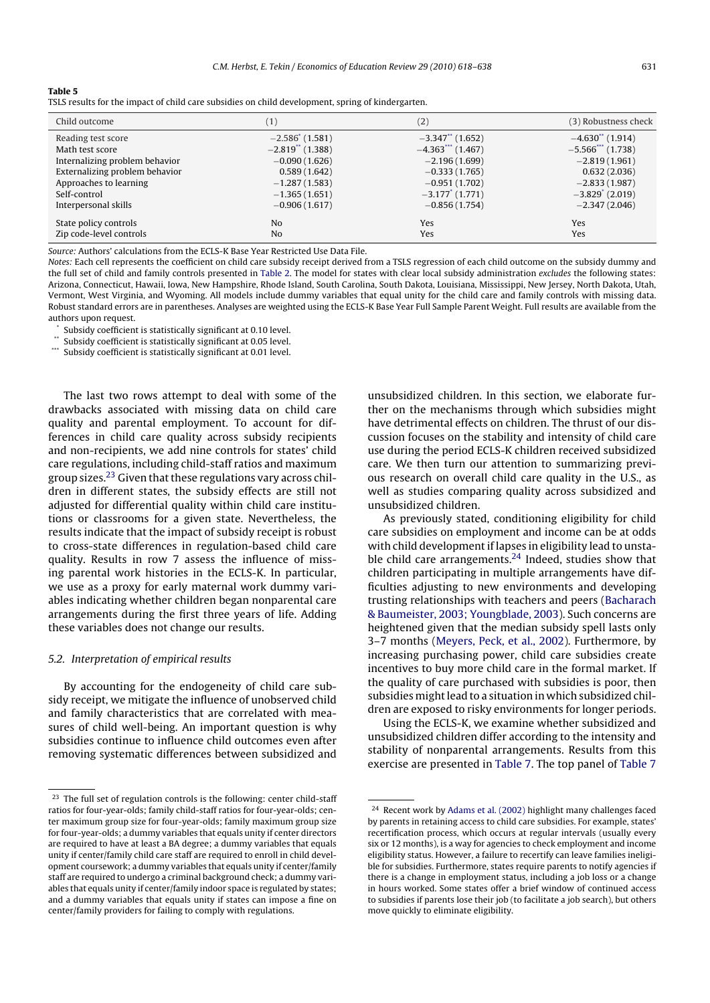| $\sim$<br>. . | ۰.<br>× |
|---------------|---------|
|---------------|---------|

| TSLS results for the impact of child care subsidies on child development, spring of kindergarten. |  |
|---------------------------------------------------------------------------------------------------|--|
|---------------------------------------------------------------------------------------------------|--|

| Child outcome                  | (1)                | (2)                           | (3) Robustness check          |
|--------------------------------|--------------------|-------------------------------|-------------------------------|
| Reading test score             | $-2.586$ (1.581)   | $-3.347$ (1.652)              | $-4.630$ " (1.914)            |
| Math test score                | $-2.819$ " (1.388) | $-4.363$ (1.467)              | $-5.566$ (1.738)              |
| Internalizing problem behavior | $-0.090(1.626)$    | $-2.196(1.699)$               | $-2.819(1.961)$               |
| Externalizing problem behavior | 0.589(1.642)       | $-0.333(1.765)$               | 0.632(2.036)                  |
| Approaches to learning         | $-1.287(1.583)$    | $-0.951(1.702)$               | $-2.833(1.987)$               |
| Self-control                   | $-1.365(1.651)$    | $-3.177$ <sup>*</sup> (1.771) | $-3.829$ <sup>*</sup> (2.019) |
| Interpersonal skills           | $-0.906(1.617)$    | $-0.856(1.754)$               | $-2.347(2.046)$               |
| State policy controls          | N <sub>0</sub>     | Yes                           | Yes                           |
| Zip code-level controls        | N <sub>0</sub>     | Yes                           | Yes                           |

Source: Authors' calculations from the ECLS-K Base Year Restricted Use Data File.

Notes: Each cell represents the coefficient on child care subsidy receipt derived from a TSLS regression of each child outcome on the subsidy dummy and the full set of child and family controls presented in Table 2. The model for states with clear local subsidy administration excludes the following states: Arizona, Connecticut, Hawaii, Iowa, New Hampshire, Rhode Island, South Carolina, South Dakota, Louisiana, Mississippi, New Jersey, North Dakota, Utah, Vermont, West Virginia, and Wyoming. All models include dummy variables that equal unity for the child care and family controls with missing data. Robust standard errors are in parentheses. Analyses are weighted using the ECLS-K Base Year Full Sample Parent Weight. Full results are available from the authors upon request.

Subsidy coefficient is statistically significant at 0.10 level.

Subsidy coefficient is statistically significant at 0.05 level.

\*\*\* Subsidy coefficient is statistically significant at 0.01 level.

The last two rows attempt to deal with some of the drawbacks associated with missing data on child care quality and parental employment. To account for differences in child care quality across subsidy recipients and non-recipients, we add nine controls for states' child care regulations, including child-staff ratios and maximum group sizes.23 Given that these regulations vary across children in different states, the subsidy effects are still not adjusted for differential quality within child care institutions or classrooms for a given state. Nevertheless, the results indicate that the impact of subsidy receipt is robust to cross-state differences in regulation-based child care quality. Results in row 7 assess the influence of missing parental work histories in the ECLS-K. In particular, we use as a proxy for early maternal work dummy variables indicating whether children began nonparental care arrangements during the first three years of life. Adding these variables does not change our results.

#### 5.2. Interpretation of empirical results

By accounting for the endogeneity of child care subsidy receipt, we mitigate the influence of unobserved child and family characteristics that are correlated with measures of child well-being. An important question is why subsidies continue to influence child outcomes even after removing systematic differences between subsidized and unsubsidized children. In this section, we elaborate further on the mechanisms through which subsidies might have detrimental effects on children. The thrust of our discussion focuses on the stability and intensity of child care use during the period ECLS-K children received subsidized care. We then turn our attention to summarizing previous research on overall child care quality in the U.S., as well as studies comparing quality across subsidized and unsubsidized children.

As previously stated, conditioning eligibility for child care subsidies on employment and income can be at odds with child development if lapses in eligibility lead to unstable child care arrangements. $24$  Indeed, studies show that children participating in multiple arrangements have difficulties adjusting to new environments and developing trusting relationships with teachers and peers (Bacharach & Baumeister, 2003; Youngblade, 2003). Such concerns are heightened given that the median subsidy spell lasts only 3–7 months (Meyers, Peck, et al., 2002). Furthermore, by increasing purchasing power, child care subsidies create incentives to buy more child care in the formal market. If the quality of care purchased with subsidies is poor, then subsidies might lead to a situation in which subsidized children are exposed to risky environments for longer periods.

Using the ECLS-K, we examine whether subsidized and unsubsidized children differ according to the intensity and stability of nonparental arrangements. Results from this exercise are presented in Table 7. The top panel of Table 7

 $23$  The full set of regulation controls is the following: center child-staff ratios for four-year-olds; family child-staff ratios for four-year-olds; center maximum group size for four-year-olds; family maximum group size for four-year-olds; a dummy variables that equals unity if center directors are required to have at least a BA degree; a dummy variables that equals unity if center/family child care staff are required to enroll in child development coursework; a dummy variables that equals unity if center/family staff are required to undergo a criminal background check; a dummy variables that equals unity if center/family indoor space is regulated by states; and a dummy variables that equals unity if states can impose a fine on center/family providers for failing to comply with regulations.

<sup>24</sup> Recent work by Adams et al. (2002) highlight many challenges faced by parents in retaining access to child care subsidies. For example, states' recertification process, which occurs at regular intervals (usually every six or 12 months), is a way for agencies to check employment and income eligibility status. However, a failure to recertify can leave families ineligible for subsidies. Furthermore, states require parents to notify agencies if there is a change in employment status, including a job loss or a change in hours worked. Some states offer a brief window of continued access to subsidies if parents lose their job (to facilitate a job search), but others move quickly to eliminate eligibility.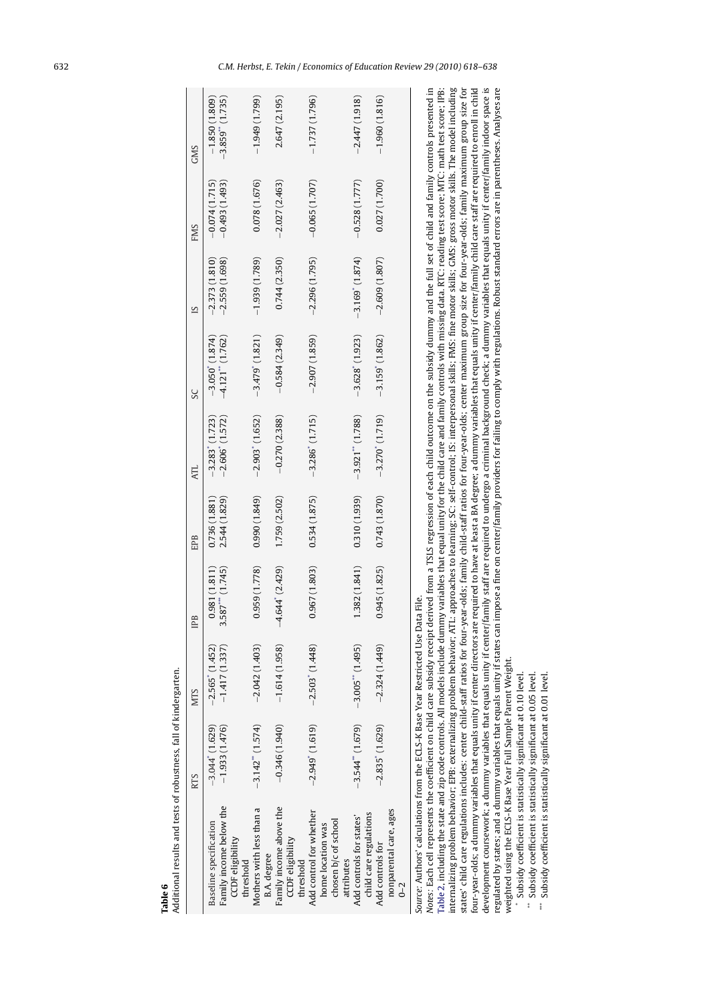| <sup>)</sup>                            |
|-----------------------------------------|
| r<br>Tr.                                |
| $-$ nacc $-$                            |
| 3                                       |
| al results and tests of robu-<br>]<br>] |
| $-2.4 + 0.4 + 0.7$                      |

|                                                                                                                                                                                                                                                                                                                                                                                                                                                                                                                                                                                                                                                                                                                                                                                                                                                                                                                                                                                                                                                                                                                                          | <b>RTS</b>                                       | <b>NTS</b>                                     | æ                              | EPB                           | ATL                                                 | SC                                                                | S                                  | <b>FMS</b>                         | GMS                                                                                                                                                                                                                                                                           |
|------------------------------------------------------------------------------------------------------------------------------------------------------------------------------------------------------------------------------------------------------------------------------------------------------------------------------------------------------------------------------------------------------------------------------------------------------------------------------------------------------------------------------------------------------------------------------------------------------------------------------------------------------------------------------------------------------------------------------------------------------------------------------------------------------------------------------------------------------------------------------------------------------------------------------------------------------------------------------------------------------------------------------------------------------------------------------------------------------------------------------------------|--------------------------------------------------|------------------------------------------------|--------------------------------|-------------------------------|-----------------------------------------------------|-------------------------------------------------------------------|------------------------------------|------------------------------------|-------------------------------------------------------------------------------------------------------------------------------------------------------------------------------------------------------------------------------------------------------------------------------|
| Family income below the<br>Baseline specification<br>CCDF eligibility<br>threshold                                                                                                                                                                                                                                                                                                                                                                                                                                                                                                                                                                                                                                                                                                                                                                                                                                                                                                                                                                                                                                                       | $-1.933(1.476)$<br>$-3.044$ <sup>*</sup> (1.629) | $-1.417(1.337)$<br>$-2.565$ <sup>(1.452)</sup> | $.587$ (1.745)<br>0.981(1.811) | 2.544 (1.829)<br>0.736(1.881) | $-2.606$ <sup>*</sup> $(1.572)$<br>$-3.283$ (1.723) | $-4.121$ <sup>**</sup> (1.762)<br>$-3.050$ <sup>"</sup> $(1.874)$ | $-2.559(1.698)$<br>$-2.373(1.810)$ | $-0.493(1.493)$<br>$-0.074(1.715)$ | $-3.859$ (1.735)<br>$-1.850(1.809)$                                                                                                                                                                                                                                           |
| Mothers with less than a<br><b>B.A.</b> degree                                                                                                                                                                                                                                                                                                                                                                                                                                                                                                                                                                                                                                                                                                                                                                                                                                                                                                                                                                                                                                                                                           | $-3.142$ <sup>*</sup> (1.574)                    | $-2.042(1.403)$                                | 0.959 (1.778)                  | 0.990 (1.849)                 | $-2.903$ (1.652)                                    | $-3.479$ (1.821)                                                  | $-1.939(1.789)$                    | 0.078(1.676)                       | $-1.949(1.799)$                                                                                                                                                                                                                                                               |
| Family income above the<br>CCDF eligibility<br>threshold                                                                                                                                                                                                                                                                                                                                                                                                                                                                                                                                                                                                                                                                                                                                                                                                                                                                                                                                                                                                                                                                                 | $-0.346(1.940)$                                  | $-1.614(1.958)$                                | $-4.644$ <sup>'</sup> (2.429)  | 1.759 (2.502)                 | $-0.270(2.388)$                                     | $-0.584(2.349)$                                                   | 0.744(2.350)                       | $-2.027(2.463)$                    | 2.647 (2.195)                                                                                                                                                                                                                                                                 |
| Add control for whether<br>chosen b/c of school<br>home location was                                                                                                                                                                                                                                                                                                                                                                                                                                                                                                                                                                                                                                                                                                                                                                                                                                                                                                                                                                                                                                                                     | $-2.949$ <sup>*</sup> (1.619)                    | $-2.503$ <sup>*</sup> $(1.448)$                | 0.967 (1.803)                  | 0.534(1.875)                  | $-3.286$ <sup>*</sup> $(1.715)$                     | $-2.907(1.859)$                                                   | $-2.296(1.795)$                    | $-0.065(1.707)$                    | $-1.737(1.796)$                                                                                                                                                                                                                                                               |
| Add controls for states'<br>attributes                                                                                                                                                                                                                                                                                                                                                                                                                                                                                                                                                                                                                                                                                                                                                                                                                                                                                                                                                                                                                                                                                                   | $-3.544$ (1.679)                                 | $-3.005$ (1.495)                               | 1.382 (1.841)                  | 0.310(1.939)                  | $-3.921$ (1.788)                                    | $-3.628$ (1.923)                                                  | $-3.169$ (1.874)                   | $-0.528(1.777)$                    | $-2.447(1.918)$                                                                                                                                                                                                                                                               |
| nonparental care, ages<br>child care regulations<br>Add controls for<br>$0 - 2$                                                                                                                                                                                                                                                                                                                                                                                                                                                                                                                                                                                                                                                                                                                                                                                                                                                                                                                                                                                                                                                          | $-2.835$ <sup>*</sup> (1.629)                    | $-2.324(1.449)$                                | 0.945(1.825)                   | 0.743(1.870)                  | $-3.270$ <sup>*</sup> $(1.719)$                     | $-3.159$ (1.862)                                                  | $-2.609(1.807)$                    | 0.027(1.700)                       | $-1.960(1.816)$                                                                                                                                                                                                                                                               |
| Table 2, including the state and zip code controls. All models include dummy variables that equal unity for the child care and family controls with missing data. RTC: reading test score; MTC: math test score; IPB:<br>internalizing problem behavior; EPB: externalizing problem behavior; ATL: approaches to learning; SC: self-control; IS: interpersonal skills; FMS: fine motor skills; GMS: gross motor skills. The model including<br>states' child care regulations includes: center child-staff ratios for four-year-olds; family child-staff ratios for four-year-olds; center maximum group size for four-year-olds; family maximum group size for<br>four-year-olds; a dummy variables that equals unity if center directors are required to have at least a BA degree; a dummy variables that equals unity if center/family child care staff are required to enroll in child<br>Source: Authors' calculations from the ECLS-K Base Year Restricted Use Data File<br>Notes: Each cell represents the coefficient on child care subsidy receipt d<br>development coursework; a dummy variables that equals unity if center, |                                                  |                                                |                                |                               |                                                     |                                                                   |                                    |                                    | erived from a TSLS regression of each child outcome on the subsidy dummy and the full set of child and family controls presented in<br>family staff are required to undergo a criminal background check; a dummy variables that equals unity if center/family indoor space is |
| regulated by states; and a dummy variables that equals unity if states can                                                                                                                                                                                                                                                                                                                                                                                                                                                                                                                                                                                                                                                                                                                                                                                                                                                                                                                                                                                                                                                               |                                                  |                                                |                                |                               |                                                     |                                                                   |                                    |                                    | impose a fine on center/family providers for failing to comply with regulations. Robust standard errors are in parentheses. Analyses are                                                                                                                                      |

weighted using the ECLS-K Base Year Full Sample Parent Weight. weighted using the ECLS-K Base Year Full Sample Parent Weight.

Subsidy coefficient is statistically significant at 0.10 level. Subsidy coefficient is statistically significant at 0.10 level.

Subsidy coefficient is statistically significant at 0.05 level. Subsidy coefficient is statistically significant at 0.01 level. \*\* Subsidy coefficient is statistically significant at 0.05 level. \*\*\* Subsidy coefficient is statistically significant at 0.01 level. $\ddot{\ddot{\imath}}$  $\ddot{\ddot{\epsilon}}$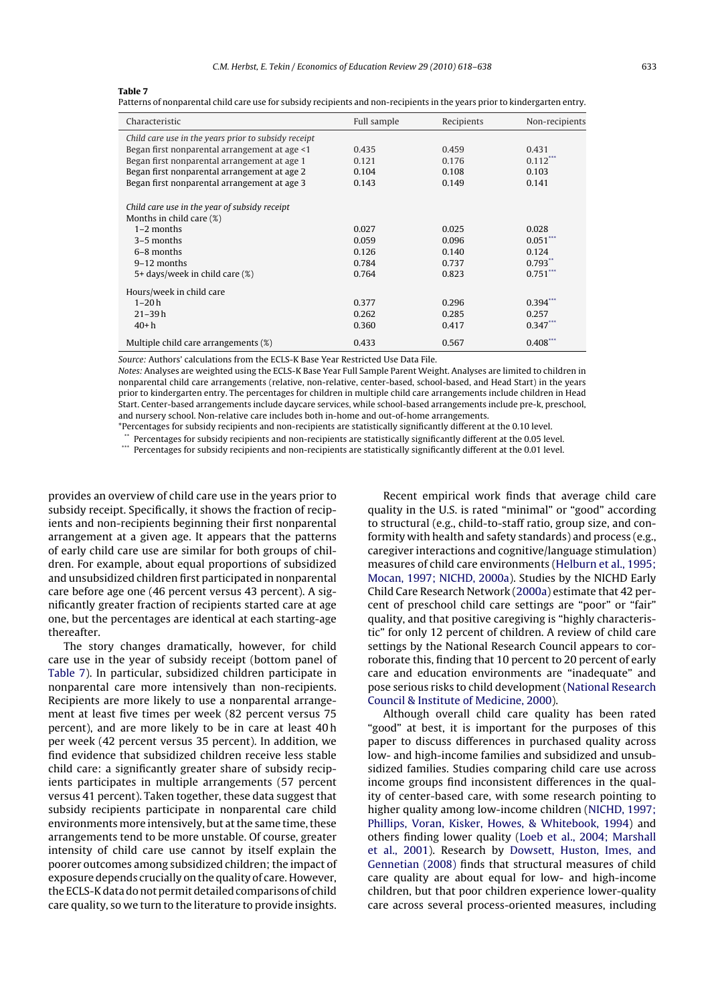## Table 7

Patterns of nonparental child care use for subsidy recipients and non-recipients in the years prior to kindergarten entry.

| Characteristic                                       | Full sample | Recipients | Non-recipients |
|------------------------------------------------------|-------------|------------|----------------|
| Child care use in the years prior to subsidy receipt |             |            |                |
| Began first nonparental arrangement at age <1        | 0.435       | 0.459      | 0.431          |
| Began first nonparental arrangement at age 1         | 0.121       | 0.176      | $0.112$ ***    |
| Began first nonparental arrangement at age 2         | 0.104       | 0.108      | 0.103          |
| Began first nonparental arrangement at age 3         | 0.143       | 0.149      | 0.141          |
| Child care use in the year of subsidy receipt        |             |            |                |
| Months in child care $(\%)$                          |             |            |                |
| $1-2$ months                                         | 0.027       | 0.025      | 0.028          |
| 3-5 months                                           | 0.059       | 0.096      | $0.051$ ***    |
| 6-8 months                                           | 0.126       | 0.140      | 0.124          |
| $9-12$ months                                        | 0.784       | 0.737      | 0.793          |
| 5+ days/week in child care (%)                       | 0.764       | 0.823      | $0.751$ ***    |
| Hours/week in child care                             |             |            |                |
| $1 - 20h$                                            | 0.377       | 0.296      | 0.394          |
| $21 - 39h$                                           | 0.262       | 0.285      | 0.257          |
| $40 + h$                                             | 0.360       | 0.417      | $0.347$ ***    |
| Multiple child care arrangements (%)                 | 0.433       | 0.567      | $0.408$ ***    |

Source: Authors' calculations from the ECLS-K Base Year Restricted Use Data File.

Notes: Analyses are weighted using the ECLS-K Base Year Full Sample Parent Weight. Analyses are limited to children in nonparental child care arrangements (relative, non-relative, center-based, school-based, and Head Start) in the years prior to kindergarten entry. The percentages for children in multiple child care arrangements include children in Head Start. Center-based arrangements include daycare services, while school-based arrangements include pre-k, preschool, and nursery school. Non-relative care includes both in-home and out-of-home arrangements.

\*Percentages for subsidy recipients and non-recipients are statistically significantly different at the 0.10 level.

\*\* Percentages for subsidy recipients and non-recipients are statistically significantly different at the 0.05 level.

\*\*\* Percentages for subsidy recipients and non-recipients are statistically significantly different at the 0.01 level.

provides an overview of child care use in the years prior to subsidy receipt. Specifically, it shows the fraction of recipients and non-recipients beginning their first nonparental arrangement at a given age. It appears that the patterns of early child care use are similar for both groups of children. For example, about equal proportions of subsidized and unsubsidized children first participated in nonparental care before age one (46 percent versus 43 percent). A significantly greater fraction of recipients started care at age one, but the percentages are identical at each starting-age thereafter.

The story changes dramatically, however, for child care use in the year of subsidy receipt (bottom panel of Table 7). In particular, subsidized children participate in nonparental care more intensively than non-recipients. Recipients are more likely to use a nonparental arrangement at least five times per week (82 percent versus 75 percent), and are more likely to be in care at least 40 h per week (42 percent versus 35 percent). In addition, we find evidence that subsidized children receive less stable child care: a significantly greater share of subsidy recipients participates in multiple arrangements (57 percent versus 41 percent). Taken together, these data suggest that subsidy recipients participate in nonparental care child environments more intensively, but at the same time, these arrangements tend to be more unstable. Of course, greater intensity of child care use cannot by itself explain the poorer outcomes among subsidized children; the impact of exposure depends crucially on the quality of care. However, the ECLS-K data do not permit detailed comparisons of child care quality, so we turn to the literature to provide insights.

Recent empirical work finds that average child care quality in the U.S. is rated "minimal" or "good" according to structural (e.g., child-to-staff ratio, group size, and conformity with health and safety standards) and process (e.g., caregiver interactions and cognitive/language stimulation) measures of child care environments (Helburn et al., 1995; Mocan, 1997; NICHD, 2000a). Studies by the NICHD Early Child Care Research Network (2000a) estimate that 42 percent of preschool child care settings are "poor" or "fair" quality, and that positive caregiving is "highly characteristic" for only 12 percent of children. A review of child care settings by the National Research Council appears to corroborate this, finding that 10 percent to 20 percent of early care and education environments are "inadequate" and pose serious risks to child development (National Research Council & Institute of Medicine, 2000).

Although overall child care quality has been rated "good" at best, it is important for the purposes of this paper to discuss differences in purchased quality across low- and high-income families and subsidized and unsubsidized families. Studies comparing child care use across income groups find inconsistent differences in the quality of center-based care, with some research pointing to higher quality among low-income children (NICHD, 1997; Phillips, Voran, Kisker, Howes, & Whitebook, 1994) and others finding lower quality (Loeb et al., 2004; Marshall et al., 2001). Research by Dowsett, Huston, Imes, and Gennetian (2008) finds that structural measures of child care quality are about equal for low- and high-income children, but that poor children experience lower-quality care across several process-oriented measures, including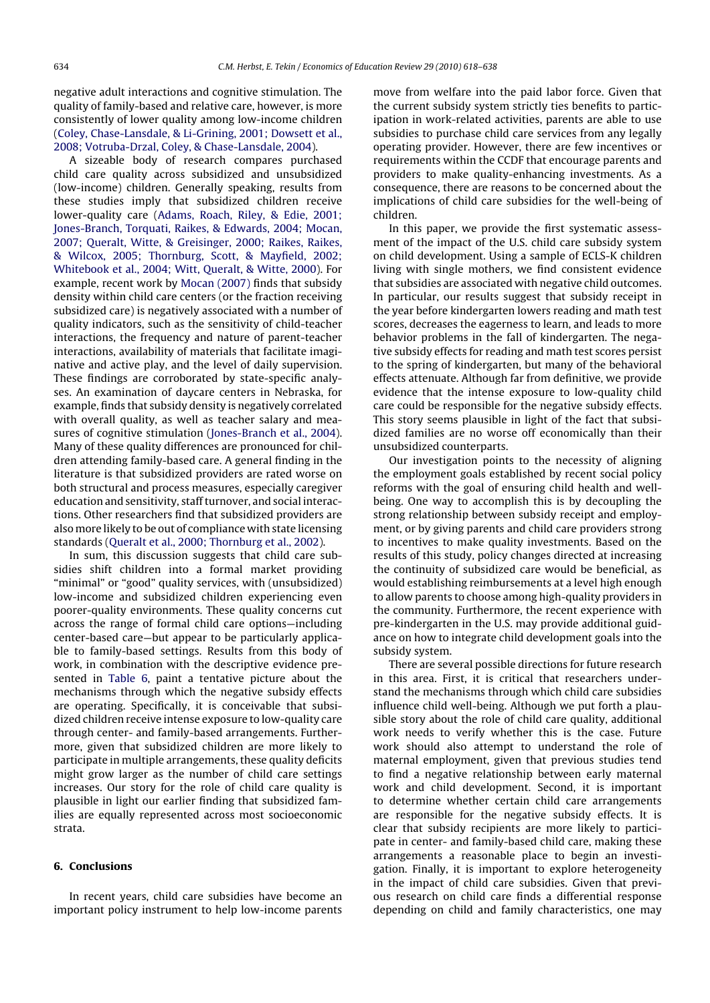negative adult interactions and cognitive stimulation. The quality of family-based and relative care, however, is more consistently of lower quality among low-income children (Coley, Chase-Lansdale, & Li-Grining, 2001; Dowsett et al., 2008; Votruba-Drzal, Coley, & Chase-Lansdale, 2004).

A sizeable body of research compares purchased child care quality across subsidized and unsubsidized (low-income) children. Generally speaking, results from these studies imply that subsidized children receive lower-quality care (Adams, Roach, Riley, & Edie, 2001; Jones-Branch, Torquati, Raikes, & Edwards, 2004; Mocan, 2007; Queralt, Witte, & Greisinger, 2000; Raikes, Raikes, & Wilcox, 2005; Thornburg, Scott, & Mayfield, 2002; Whitebook et al., 2004; Witt, Queralt, & Witte, 2000). For example, recent work by Mocan (2007) finds that subsidy density within child care centers (or the fraction receiving subsidized care) is negatively associated with a number of quality indicators, such as the sensitivity of child-teacher interactions, the frequency and nature of parent-teacher interactions, availability of materials that facilitate imaginative and active play, and the level of daily supervision. These findings are corroborated by state-specific analyses. An examination of daycare centers in Nebraska, for example, finds that subsidy density is negatively correlated with overall quality, as well as teacher salary and measures of cognitive stimulation (Jones-Branch et al., 2004). Many of these quality differences are pronounced for children attending family-based care. A general finding in the literature is that subsidized providers are rated worse on both structural and process measures, especially caregiver education and sensitivity, staff turnover, and social interactions. Other researchers find that subsidized providers are also more likely to be out of compliance with state licensing standards (Queralt et al., 2000; Thornburg et al., 2002).

In sum, this discussion suggests that child care subsidies shift children into a formal market providing "minimal" or "good" quality services, with (unsubsidized) low-income and subsidized children experiencing even poorer-quality environments. These quality concerns cut across the range of formal child care options—including center-based care—but appear to be particularly applicable to family-based settings. Results from this body of work, in combination with the descriptive evidence presented in Table 6, paint a tentative picture about the mechanisms through which the negative subsidy effects are operating. Specifically, it is conceivable that subsidized children receive intense exposure to low-quality care through center- and family-based arrangements. Furthermore, given that subsidized children are more likely to participate in multiple arrangements, these quality deficits might grow larger as the number of child care settings increases. Our story for the role of child care quality is plausible in light our earlier finding that subsidized families are equally represented across most socioeconomic strata.

# 6. Conclusions

In recent years, child care subsidies have become an important policy instrument to help low-income parents

move from welfare into the paid labor force. Given that the current subsidy system strictly ties benefits to participation in work-related activities, parents are able to use subsidies to purchase child care services from any legally operating provider. However, there are few incentives or requirements within the CCDF that encourage parents and providers to make quality-enhancing investments. As a consequence, there are reasons to be concerned about the implications of child care subsidies for the well-being of children.

In this paper, we provide the first systematic assessment of the impact of the U.S. child care subsidy system on child development. Using a sample of ECLS-K children living with single mothers, we find consistent evidence that subsidies are associated with negative child outcomes. In particular, our results suggest that subsidy receipt in the year before kindergarten lowers reading and math test scores, decreases the eagerness to learn, and leads to more behavior problems in the fall of kindergarten. The negative subsidy effects for reading and math test scores persist to the spring of kindergarten, but many of the behavioral effects attenuate. Although far from definitive, we provide evidence that the intense exposure to low-quality child care could be responsible for the negative subsidy effects. This story seems plausible in light of the fact that subsidized families are no worse off economically than their unsubsidized counterparts.

Our investigation points to the necessity of aligning the employment goals established by recent social policy reforms with the goal of ensuring child health and wellbeing. One way to accomplish this is by decoupling the strong relationship between subsidy receipt and employment, or by giving parents and child care providers strong to incentives to make quality investments. Based on the results of this study, policy changes directed at increasing the continuity of subsidized care would be beneficial, as would establishing reimbursements at a level high enough to allow parents to choose among high-quality providers in the community. Furthermore, the recent experience with pre-kindergarten in the U.S. may provide additional guidance on how to integrate child development goals into the subsidy system.

There are several possible directions for future research in this area. First, it is critical that researchers understand the mechanisms through which child care subsidies influence child well-being. Although we put forth a plausible story about the role of child care quality, additional work needs to verify whether this is the case. Future work should also attempt to understand the role of maternal employment, given that previous studies tend to find a negative relationship between early maternal work and child development. Second, it is important to determine whether certain child care arrangements are responsible for the negative subsidy effects. It is clear that subsidy recipients are more likely to participate in center- and family-based child care, making these arrangements a reasonable place to begin an investigation. Finally, it is important to explore heterogeneity in the impact of child care subsidies. Given that previous research on child care finds a differential response depending on child and family characteristics, one may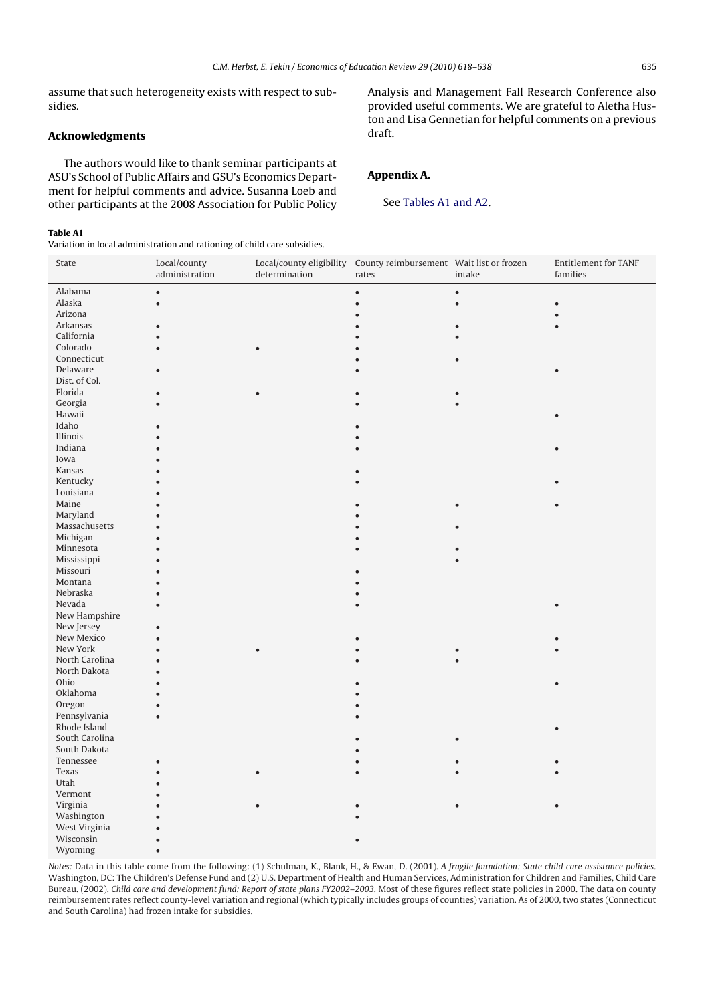assume that such heterogeneity exists with respect to subsidies.

## Acknowledgments

The authors would like to thank seminar participants at ASU's School of Public Affairs and GSU's Economics Department for helpful comments and advice. Susanna Loeb and other participants at the 2008 Association for Public Policy

#### Table A1

Variation in local administration and rationing of child care subsidies.

State Local/county administration Local/county eligibility determination County reimbursement Wait list or frozen rates intake Entitlement for TANF families Alabama • •• Alaska • ••• Arizona • • Arkansas • ••• California • •• Colorado ••• Connecticut • • Delaware ••• Dist. of Col. Florida •••• Georgia • •• Hawaii • Idaho • • Illinois • • Indiana ••• Iowa<br>Kansas Kansas • • Kentucky ••• Louisiana<br>Maine Maine • ••• Maryland • • Massachusetts • •• Michigan • • Minnesota • •• Mississippi • • Missouri • • Montana • • Nebraska • • Nevada ••• New Hampshire New Jersey<br>New Mexico New Mexico ••• New York ••••• North Carolina • •• North Dakota<br>Ohio Ohio ••• Oklahoma • • Oregon • • Pennsylvania<br>Rhode Island Rhode Island • South Carolina • • South Dakota<br>Tennessee Tennessee • ••• Texas ••••• Utah • Vermont<br>Virginia Virginia ••••• **Washington** West Virginia **Wisconsin** Wyoming •

Analysis and Management Fall Research Conference also provided useful comments. We are grateful to Aletha Huston and Lisa Gennetian for helpful comments on a previous draft.

# Appendix A.

See Tables A1 and A2.

Notes: Data in this table come from the following: (1) Schulman, K., Blank, H., & Ewan, D. (2001). A fragile foundation: State child care assistance policies. Washington, DC: The Children's Defense Fund and (2) U.S. Department of Health and Human Services, Administration for Children and Families, Child Care Bureau. (2002). Child care and development fund: Report of state plans FY2002-2003. Most of these figures reflect state policies in 2000. The data on county reimbursement rates reflect county-level variation and regional (which typically includes groups of counties) variation. As of 2000, two states (Connecticut and South Carolina) had frozen intake for subsidies.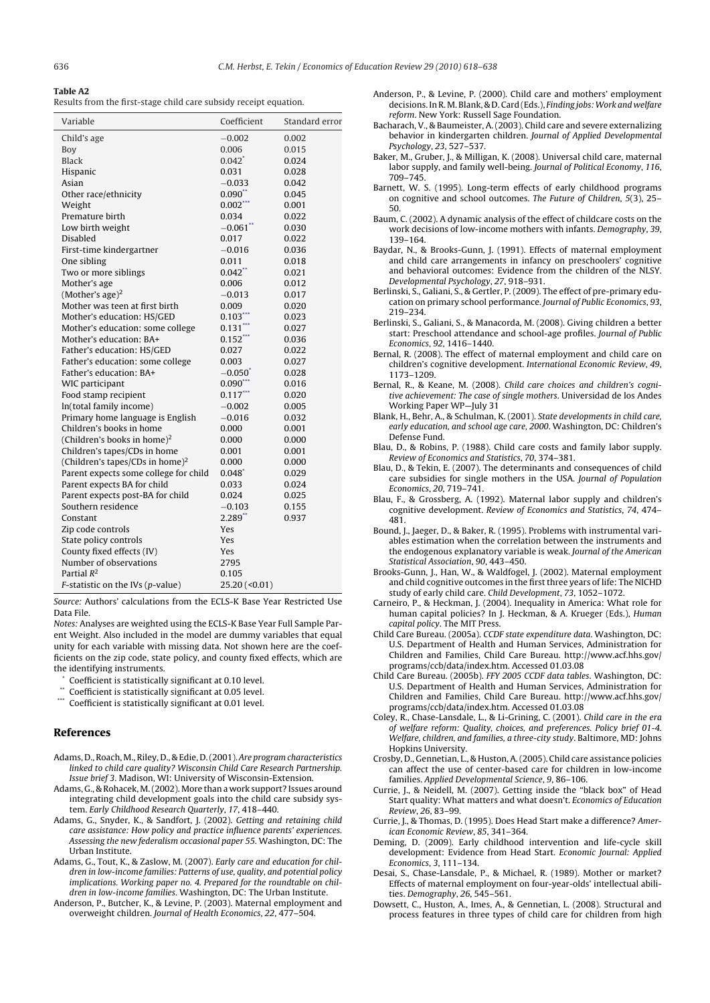#### Table A2

Results from the first-stage child care subsidy receipt equation.

| Variable                                    | Coefficient           | Standard error |
|---------------------------------------------|-----------------------|----------------|
| Child's age                                 | $-0.002$              | 0.002          |
| Boy                                         | 0.006                 | 0.015          |
| <b>Black</b>                                | $0.042^{\degree}$     | 0.024          |
| Hispanic                                    | 0.031                 | 0.028          |
| Asian                                       | $-0.033$              | 0.042          |
| Other race/ethnicity                        | $0.090$ **            | 0.045          |
| Weight                                      | $0.002$               | 0.001          |
| Premature birth                             | 0.034                 | 0.022          |
| Low birth weight                            | $-0.061$ **           | 0.030          |
| Disabled                                    | 0.017                 | 0.022          |
| First-time kindergartner                    | $-0.016$              | 0.036          |
| One sibling                                 | 0.011                 | 0.018          |
| Two or more siblings                        | 0.042                 | 0.021          |
| Mother's age                                | 0.006                 | 0.012          |
| (Mother's age) <sup>2</sup>                 | $-0.013$              | 0.017          |
| Mother was teen at first birth              | 0.009                 | 0.020          |
| Mother's education: HS/GED                  | 0.103                 | 0.023          |
| Mother's education: some college            | $0.131$ ***           | 0.027          |
| Mother's education: BA+                     | $0.152$ ***           | 0.036          |
| Father's education: HS/GED                  | 0.027                 | 0.022          |
| Father's education: some college            | 0.003                 | 0.027          |
| Father's education: BA+                     | $-0.050$ <sup>*</sup> | 0.028          |
| WIC participant                             | 0.090                 | 0.016          |
| Food stamp recipient                        | $0.117$ ***           | 0.020          |
| ln(total family income)                     | $-0.002$              | 0.005          |
| Primary home language is English            | $-0.016$              | 0.032          |
| Children's books in home                    | 0.000                 | 0.001          |
| (Children's books in home) <sup>2</sup>     | 0.000                 | 0.000          |
| Children's tapes/CDs in home                | 0.001                 | 0.001          |
| (Children's tapes/CDs in home) <sup>2</sup> | 0.000                 | 0.000          |
| Parent expects some college for child       | $0.048$ <sup>*</sup>  | 0.029          |
| Parent expects BA for child                 | 0.033                 | 0.024          |
| Parent expects post-BA for child            | 0.024                 | 0.025          |
| Southern residence                          | $-0.103$              | 0.155          |
| Constant                                    | $2.289$ <sup>**</sup> | 0.937          |
| Zip code controls                           | Yes                   |                |
| State policy controls                       | Yes                   |                |
| County fixed effects (IV)                   | Yes                   |                |
| Number of observations                      | 2795                  |                |
| Partial $R^2$                               | 0.105                 |                |
| $F$ -statistic on the IVs (p-value)         | $25.20 (\le 0.01)$    |                |

Source: Authors' calculations from the ECLS-K Base Year Restricted Use Data File.

Notes: Analyses are weighted using the ECLS-K Base Year Full Sample Parent Weight. Also included in the model are dummy variables that equal unity for each variable with missing data. Not shown here are the coefficients on the zip code, state policy, and county fixed effects, which are the identifying instruments.

- Coefficient is statistically significant at 0.10 level.
- \*\* Coefficient is statistically significant at 0.05 level.
- Coefficient is statistically significant at 0.01 level.

#### References

- Adams, D., Roach, M., Riley, D., & Edie, D. (2001). Are program characteristics linked to child care quality? Wisconsin Child Care Research Partnership. Issue brief 3. Madison, WI: University of Wisconsin-Extension.
- Adams, G., & Rohacek, M. (2002). More than a work support? Issues around integrating child development goals into the child care subsidy system. Early Childhood Research Quarterly, 17, 418–440.
- Adams, G., Snyder, K., & Sandfort, J. (2002). Getting and retaining child care assistance: How policy and practice influence parents' experiences. Assessing the new federalism occasional paper 55. Washington, DC: The Urban Institute.
- Adams, G., Tout, K., & Zaslow, M. (2007). Early care and education for children in low-income families: Patterns of use, quality, and potential policy implications. Working paper no. 4. Prepared for the roundtable on children in low-income families. Washington, DC: The Urban Institute.
- Anderson, P., Butcher, K., & Levine, P. (2003). Maternal employment and overweight children. Journal of Health Economics, 22, 477–504.
- Anderson, P., & Levine, P. (2000). Child care and mothers' employment decisions. In R. M. Blank, & D. Card (Eds.), Finding jobs: Work and welfare reform. New York: Russell Sage Foundation.
- Bacharach, V., & Baumeister, A. (2003). Child care and severe externalizing behavior in kindergarten children. Journal of Applied Developmental Psychology, 23, 527–537.
- Baker, M., Gruber, J., & Milligan, K. (2008). Universal child care, maternal labor supply, and family well-being. Journal of Political Economy, 116, 709–745.
- Barnett, W. S. (1995). Long-term effects of early childhood programs on cognitive and school outcomes. The Future of Children, 5(3), 25– 50.
- Baum, C. (2002). A dynamic analysis of the effect of childcare costs on the work decisions of low-income mothers with infants. Demography, 39, 139–164.
- Baydar, N., & Brooks-Gunn, J. (1991). Effects of maternal employment and child care arrangements in infancy on preschoolers' cognitive and behavioral outcomes: Evidence from the children of the NLSY. Developmental Psychology, 27, 918–931.
- Berlinski, S., Galiani, S., & Gertler, P. (2009). The effect of pre-primary education on primary school performance. Journal of Public Economics, 93, 219–234.
- Berlinski, S., Galiani, S., & Manacorda, M. (2008). Giving children a better start: Preschool attendance and school-age profiles. Journal of Public Economics, 92, 1416–1440.
- Bernal, R. (2008). The effect of maternal employment and child care on children's cognitive development. International Economic Review, 49, 1173–1209.
- Bernal, R., & Keane, M. (2008). Child care choices and children's cognitive achievement: The case of single mothers. Universidad de los Andes Working Paper WP—July 31
- Blank, H., Behr, A., & Schulman, K. (2001). State developments in child care, early education, and school age care, 2000. Washington, DC: Children's Defense Fund.
- Blau, D., & Robins, P. (1988). Child care costs and family labor supply. Review of Economics and Statistics, 70, 374–381.
- Blau, D., & Tekin, E. (2007). The determinants and consequences of child care subsidies for single mothers in the USA. Journal of Population Economics, 20, 719–741.
- Blau, F., & Grossberg, A. (1992). Maternal labor supply and children's cognitive development. Review of Economics and Statistics, 74, 474– 481.
- Bound, J., Jaeger, D., & Baker, R. (1995). Problems with instrumental variables estimation when the correlation between the instruments and the endogenous explanatory variable is weak. Journal of the American Statistical Association, 90, 443–450.
- Brooks-Gunn, J., Han, W., & Waldfogel, J. (2002). Maternal employment and child cognitive outcomes in the first three years of life: The NICHD study of early child care. Child Development, 73, 1052–1072.
- Carneiro, P., & Heckman, J. (2004). Inequality in America: What role for human capital policies? In J. Heckman, & A. Krueger (Eds.), Human capital policy. The MIT Press.
- Child Care Bureau. (2005a). CCDF state expenditure data. Washington, DC: U.S. Department of Health and Human Services, Administration for Children and Families, Child Care Bureau. http://www.acf.hhs.gov/ programs/ccb/data/index.htm. Accessed 01.03.08
- Child Care Bureau. (2005b). FFY 2005 CCDF data tables. Washington, DC: U.S. Department of Health and Human Services, Administration for Children and Families, Child Care Bureau. http://www.acf.hhs.gov/ programs/ccb/data/index.htm. Accessed 01.03.08
- Coley, R., Chase-Lansdale, L., & Li-Grining, C. (2001). Child care in the era of welfare reform: Quality, choices, and preferences. Policy brief 01-4. Welfare, children, and families, a three-city study. Baltimore, MD: Johns Hopkins University.
- Crosby, D., Gennetian, L., & Huston, A. (2005). Child care assistance policies can affect the use of center-based care for children in low-income families. Applied Developmental Science, 9, 86–106.
- Currie, J., & Neidell, M. (2007). Getting inside the "black box" of Head Start quality: What matters and what doesn't. Economics of Education Review, 26, 83–99.
- Currie, J., & Thomas, D. (1995). Does Head Start make a difference? American Economic Review, 85, 341–364.
- Deming, D. (2009). Early childhood intervention and life-cycle skill development: Evidence from Head Start. Economic Journal: Applied Economics, 3, 111–134.
- Desai, S., Chase-Lansdale, P., & Michael, R. (1989). Mother or market? Effects of maternal employment on four-year-olds' intellectual abilities. Demography, 26, 545–561.
- Dowsett, C., Huston, A., Imes, A., & Gennetian, L. (2008). Structural and process features in three types of child care for children from high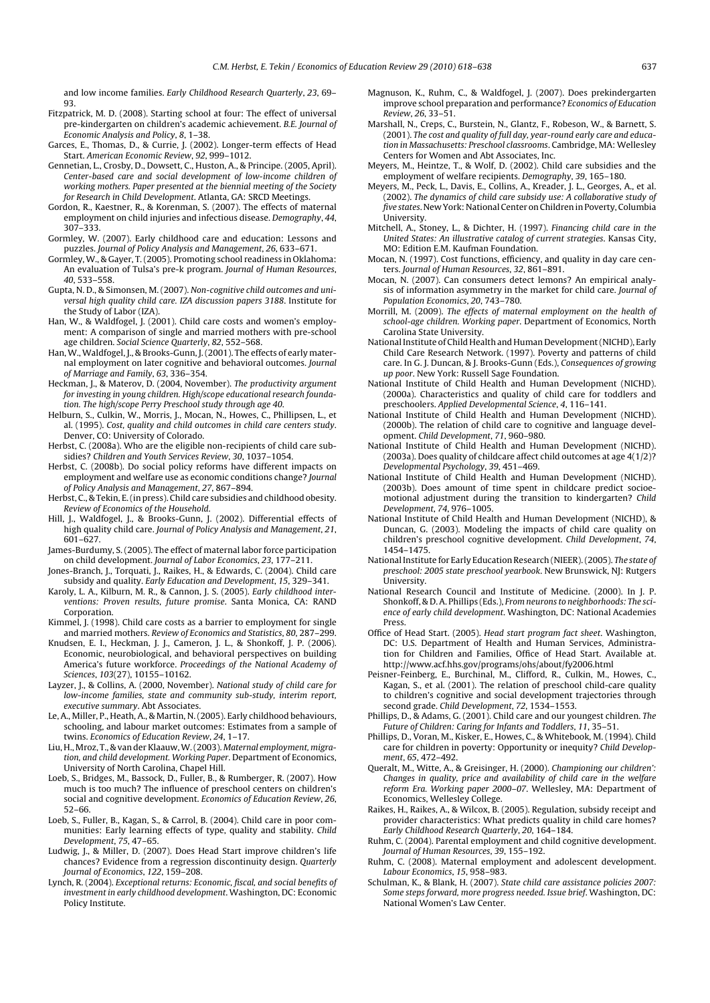and low income families. Early Childhood Research Quarterly, 23, 69– 93.

- Fitzpatrick, M. D. (2008). Starting school at four: The effect of universal pre-kindergarten on children's academic achievement. B.E. Journal of Economic Analysis and Policy, 8, 1–38.
- Garces, E., Thomas, D., & Currie, J. (2002). Longer-term effects of Head Start. American Economic Review, 92, 999–1012.
- Gennetian, L., Crosby, D., Dowsett, C., Huston, A., & Principe. (2005, April). Center-based care and social development of low-income children of working mothers. Paper presented at the biennial meeting of the Society for Research in Child Development. Atlanta, GA: SRCD Meetings.
- Gordon, R., Kaestner, R., & Korenman, S. (2007). The effects of maternal employment on child injuries and infectious disease. Demography, 44, 307–333.
- Gormley, W. (2007). Early childhood care and education: Lessons and puzzles. Journal of Policy Analysis and Management, 26, 633–671.
- Gormley, W., & Gayer, T. (2005). Promoting school readiness in Oklahoma: An evaluation of Tulsa's pre-k program. Journal of Human Resources, 40, 533–558.
- Gupta, N. D., & Simonsen, M. (2007). Non-cognitive child outcomes and universal high quality child care. IZA discussion papers 3188. Institute for the Study of Labor (IZA).
- Han, W., & Waldfogel, J. (2001). Child care costs and women's employment: A comparison of single and married mothers with pre-school age children. Social Science Quarterly, 82, 552–568.
- Han, W., Waldfogel, J., & Brooks-Gunn, J. (2001). The effects of early maternal employment on later cognitive and behavioral outcomes. Journal of Marriage and Family, 63, 336–354.
- Heckman, J., & Materov, D. (2004, November). The productivity argument for investing in young children. High/scope educational research foundation. The high/scope Perry Preschool study through age 40.
- Helburn, S., Culkin, W., Morris, J., Mocan, N., Howes, C., Phillipsen, L., et al. (1995). Cost, quality and child outcomes in child care centers study. Denver, CO: University of Colorado.
- Herbst, C. (2008a). Who are the eligible non-recipients of child care subsidies? Children and Youth Services Review, 30, 1037–1054.
- Herbst, C. (2008b). Do social policy reforms have different impacts on employment and welfare use as economic conditions change? Journal of Policy Analysis and Management, 27, 867–894.
- Herbst, C., & Tekin, E. (in press). Child care subsidies and childhood obesity. Review of Economics of the Household.
- Hill, J., Waldfogel, J., & Brooks-Gunn, J. (2002). Differential effects of high quality child care. Journal of Policy Analysis and Management, 21, 601–627.
- James-Burdumy, S. (2005). The effect of maternal labor force participation on child development. Journal of Labor Economics, 23, 177–211.
- Jones-Branch, J., Torquati, J., Raikes, H., & Edwards, C. (2004). Child care subsidy and quality. Early Education and Development, 15, 329–341.
- Karoly, L. A., Kilburn, M. R., & Cannon, J. S. (2005). Early childhood interventions: Proven results, future promise. Santa Monica, CA: RAND Corporation.
- Kimmel, J. (1998). Child care costs as a barrier to employment for single and married mothers. Review of Economics and Statistics, 80, 287–299.
- Knudsen, E. I., Heckman, J. J., Cameron, J. L., & Shonkoff, J. P. (2006). Economic, neurobiological, and behavioral perspectives on building America's future workforce. Proceedings of the National Academy of Sciences, 103(27), 10155–10162.
- Layzer, J., & Collins, A. (2000, November). National study of child care for low-income families, state and community sub-study, interim report, executive summary. Abt Associates.
- Le, A., Miller, P., Heath, A., & Martin, N. (2005). Early childhood behaviours, schooling, and labour market outcomes: Estimates from a sample of twins. Economics of Education Review, 24, 1–17.
- Liu, H., Mroz, T., & van der Klaauw,W. (2003). Maternal employment, migration, and child development. Working Paper. Department of Economics, University of North Carolina, Chapel Hill.
- Loeb, S., Bridges, M., Bassock, D., Fuller, B., & Rumberger, R. (2007). How much is too much? The influence of preschool centers on children's social and cognitive development. Economics of Education Review, 26, 52–66.
- Loeb, S., Fuller, B., Kagan, S., & Carrol, B. (2004). Child care in poor communities: Early learning effects of type, quality and stability. Child Development, 75, 47–65.
- Ludwig, J., & Miller, D. (2007). Does Head Start improve children's life chances? Evidence from a regression discontinuity design. Quarterly Journal of Economics, 122, 159–208.
- Lynch, R. (2004). Exceptional returns: Economic, fiscal, and social benefits of investment in early childhood development. Washington, DC: Economic Policy Institute.
- Magnuson, K., Ruhm, C., & Waldfogel, J. (2007). Does prekindergarten improve school preparation and performance? Economics of Education Review, 26, 33–51.
- Marshall, N., Creps, C., Burstein, N., Glantz, F., Robeson, W., & Barnett, S. (2001). The cost and quality of full day, year-round early care and education in Massachusetts: Preschool classrooms. Cambridge, MA: Wellesley Centers for Women and Abt Associates, Inc.
- Meyers, M., Heintze, T., & Wolf, D. (2002). Child care subsidies and the employment of welfare recipients. Demography, 39, 165–180.
- Meyers, M., Peck, L., Davis, E., Collins, A., Kreader, J. L., Georges, A., et al. (2002). The dynamics of child care subsidy use: A collaborative study of five states. New York: National Center on Children in Poverty, Columbia University.
- Mitchell, A., Stoney, L., & Dichter, H. (1997). Financing child care in the United States: An illustrative catalog of current strategies. Kansas City, MO: Edition E.M. Kaufman Foundation.
- Mocan, N. (1997). Cost functions, efficiency, and quality in day care centers. Journal of Human Resources, 32, 861–891.
- Mocan, N. (2007). Can consumers detect lemons? An empirical analysis of information asymmetry in the market for child care. Journal of Population Economics, 20, 743–780.
- Morrill, M. (2009). The effects of maternal employment on the health of school-age children. Working paper. Department of Economics, North Carolina State University.
- National Institute of Child Health and Human Development (NICHD), Early Child Care Research Network. (1997). Poverty and patterns of child care. In G. J. Duncan, & J. Brooks-Gunn (Eds.), Consequences of growing up poor. New York: Russell Sage Foundation.
- National Institute of Child Health and Human Development (NICHD). (2000a). Characteristics and quality of child care for toddlers and preschoolers. Applied Developmental Science, 4, 116–141.
- National Institute of Child Health and Human Development (NICHD). (2000b). The relation of child care to cognitive and language development. Child Development, 71, 960–980.
- National Institute of Child Health and Human Development (NICHD). (2003a). Does quality of childcare affect child outcomes at age 4(1/2)? Developmental Psychology, 39, 451–469.
- National Institute of Child Health and Human Development (NICHD). (2003b). Does amount of time spent in childcare predict socioemotional adjustment during the transition to kindergarten? Child Development, 74, 976–1005.
- National Institute of Child Health and Human Development (NICHD), & Duncan, G. (2003). Modeling the impacts of child care quality on children's preschool cognitive development. Child Development, 74, 1454–1475.
- National Institute for Early Education Research (NIEER). (2005). The state of preschool: 2005 state preschool yearbook. New Brunswick, NJ: Rutgers University.
- National Research Council and Institute of Medicine. (2000). In J. P. Shonkoff, & D. A. Phillips (Eds.), From neurons to neighborhoods: The science of early child development. Washington, DC: National Academies Press.
- Office of Head Start. (2005). Head start program fact sheet. Washington, DC: U.S. Department of Health and Human Services, Administration for Children and Families, Office of Head Start. Available at. http://www.acf.hhs.gov/programs/ohs/about/fy2006.html
- Peisner-Feinberg, E., Burchinal, M., Clifford, R., Culkin, M., Howes, C., Kagan, S., et al. (2001). The relation of preschool child-care quality to children's cognitive and social development trajectories through second grade. Child Development, 72, 1534–1553.
- Phillips, D., & Adams, G. (2001). Child care and our youngest children. The Future of Children: Caring for Infants and Toddlers, 11, 35–51.
- Phillips, D., Voran, M., Kisker, E., Howes, C., & Whitebook, M. (1994). Child care for children in poverty: Opportunity or inequity? Child Development, 65, 472–492.
- Queralt, M., Witte, A., & Greisinger, H. (2000). Championing our children': Changes in quality, price and availability of child care in the welfare reform Era. Working paper 2000–07. Wellesley, MA: Department of Economics, Wellesley College.
- Raikes, H., Raikes, A., & Wilcox, B. (2005). Regulation, subsidy receipt and provider characteristics: What predicts quality in child care homes? Early Childhood Research Quarterly, 20, 164–184.
- Ruhm, C. (2004). Parental employment and child cognitive development. Journal of Human Resources, 39, 155–192.
- Ruhm, C. (2008). Maternal employment and adolescent development. Labour Economics, 15, 958–983.
- Schulman, K., & Blank, H. (2007). State child care assistance policies 2007: Some steps forward, more progress needed. Issue brief. Washington, DC: National Women's Law Center.